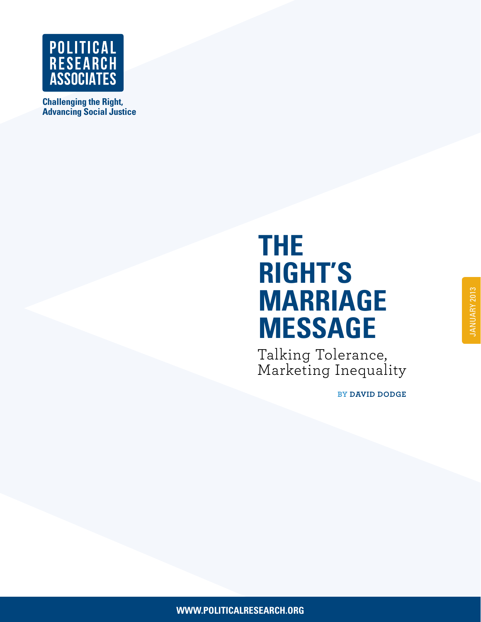

**Challenging the Right, [Advancing Social Justice](http://www.politicalresearch.org)**

# **THE RIGHT'S MARRIAGE MESSAGE**

Talking Tolerance, Marketing Inequality

**BY DAVID DODGE**

**THE RIGHT'S MARRIAGE MESSAGE MESSAGE MESSAGE 2008 PROPERTY AREA CHOOSE 2008 PROPERTY AREA CHOOSE 2009 PROPERTY**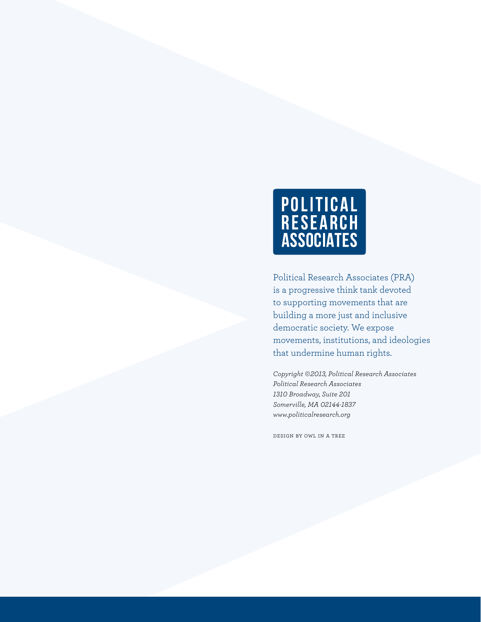

Political Research Associates (PRA) is a progressive think tank devoted to supporting movements that are building a more just and inclusive democratic society. We expose movements, institutions, and ideologies that undermine human rights.

*Copyright ©2013, Political Research Associates Political Research Associates 1310 Broadway, Suite 201 Somerville, MA 02144-1837 www.politicalresearch.org*

[design by owl in a tree](www.owlinatree.com)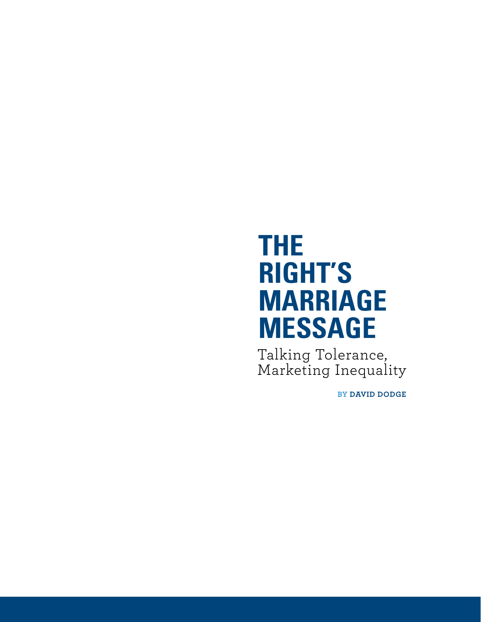# **THE RIGHT'S MARRIAGE MESSAGE**

Talking Tolerance, Marketing Inequality

**BY DAVID DODGE**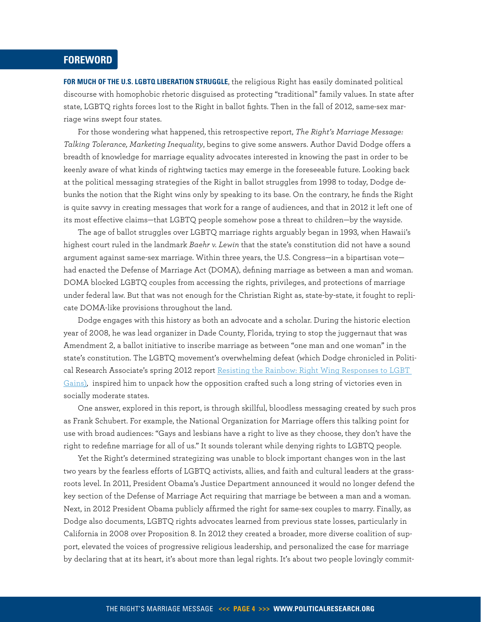# <span id="page-3-0"></span>**FOREWORD**

**FOR MUCH OF THE U.S. LGBTQ LIBERATION STRUGGLE**, the religious Right has easily dominated political discourse with homophobic rhetoric disguised as protecting "traditional" family values. In state after state, LGBTQ rights forces lost to the Right in ballot fights. Then in the fall of 2012, same-sex marriage wins swept four states.

For those wondering what happened, this retrospective report, *The Right's Marriage Message: Talking Tolerance, Marketing Inequality*, begins to give some answers. Author David Dodge offers a breadth of knowledge for marriage equality advocates interested in knowing the past in order to be keenly aware of what kinds of rightwing tactics may emerge in the foreseeable future. Looking back at the political messaging strategies of the Right in ballot struggles from 1998 to today, Dodge debunks the notion that the Right wins only by speaking to its base. On the contrary, he finds the Right is quite savvy in creating messages that work for a range of audiences, and that in 2012 it left one of its most effective claims—that LGBTQ people somehow pose a threat to children—by the wayside.

The age of ballot struggles over LGBTQ marriage rights arguably began in 1993, when Hawaii's highest court ruled in the landmark *Baehr v. Lewin* that the state's constitution did not have a sound argument against same-sex marriage. Within three years, the U.S. Congress—in a bipartisan vote had enacted the Defense of Marriage Act (DOMA), defining marriage as between a man and woman. DOMA blocked LGBTQ couples from accessing the rights, privileges, and protections of marriage under federal law. But that was not enough for the Christian Right as, state-by-state, it fought to replicate DOMA-like provisions throughout the land.

Dodge engages with this history as both an advocate and a scholar. During the historic election year of 2008, he was lead organizer in Dade County, Florida, trying to stop the juggernaut that was Amendment 2, a ballot initiative to inscribe marriage as between "one man and one woman" in the state's constitution. The LGBTQ movement's overwhelming defeat (which Dodge chronicled in Political Research Associate's spring 2012 report [Resisting the Rainbow: Right Wing Responses to LGBT](http://www.politicalresearch.org/resources/reports/full-reports/resisting-the-rainbow-right-wing-responses-to-lgbt-gains/)  [Gains](http://www.politicalresearch.org/resources/reports/full-reports/resisting-the-rainbow-right-wing-responses-to-lgbt-gains/))*,* inspired him to unpack how the opposition crafted such a long string of victories even in socially moderate states.

One answer, explored in this report, is through skillful, bloodless messaging created by such pros as Frank Schubert. For example, the National Organization for Marriage offers this talking point for use with broad audiences: "Gays and lesbians have a right to live as they choose, they don't have the right to redefine marriage for all of us." It sounds tolerant while denying rights to LGBTQ people.

Yet the Right's determined strategizing was unable to block important changes won in the last two years by the fearless efforts of LGBTQ activists, allies, and faith and cultural leaders at the grassroots level. In 2011, President Obama's Justice Department announced it would no longer defend the key section of the Defense of Marriage Act requiring that marriage be between a man and a woman. Next, in 2012 President Obama publicly affirmed the right for same-sex couples to marry. Finally, as Dodge also documents, LGBTQ rights advocates learned from previous state losses, particularly in California in 2008 over Proposition 8. In 2012 they created a broader, more diverse coalition of support, elevated the voices of progressive religious leadership, and personalized the case for marriage by declaring that at its heart, it's about more than legal rights. It's about two people lovingly commit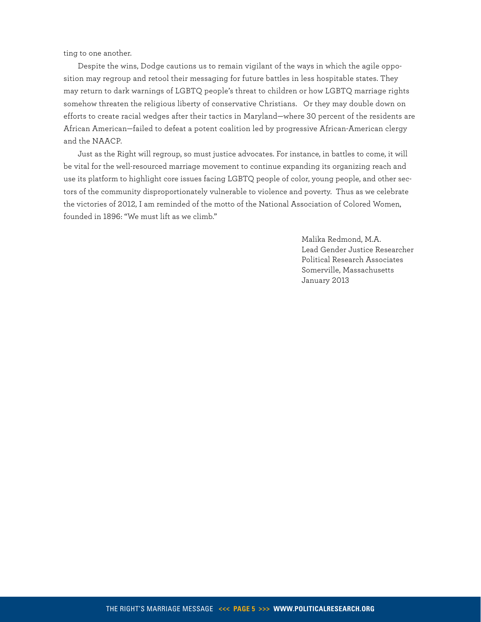ting to one another.

Despite the wins, Dodge cautions us to remain vigilant of the ways in which the agile opposition may regroup and retool their messaging for future battles in less hospitable states. They may return to dark warnings of LGBTQ people's threat to children or how LGBTQ marriage rights somehow threaten the religious liberty of conservative Christians. Or they may double down on efforts to create racial wedges after their tactics in Maryland—where 30 percent of the residents are African American—failed to defeat a potent coalition led by progressive African-American clergy and the NAACP.

Just as the Right will regroup, so must justice advocates. For instance, in battles to come, it will be vital for the well-resourced marriage movement to continue expanding its organizing reach and use its platform to highlight core issues facing LGBTQ people of color, young people, and other sectors of the community disproportionately vulnerable to violence and poverty. Thus as we celebrate the victories of 2012, I am reminded of the motto of the National Association of Colored Women, founded in 1896: "We must lift as we climb."

> Malika Redmond, M.A. Lead Gender Justice Researcher Political Research Associates Somerville, Massachusetts January 2013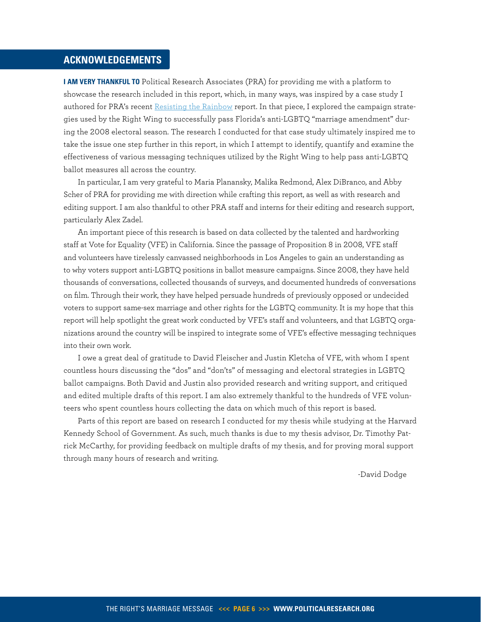# <span id="page-5-0"></span>**ACKNOWLEDGEMENTS**

**I AM VERY THANKFUL TO** Political Research Associates (PRA) for providing me with a platform to showcase the research included in this report, which, in many ways, was inspired by a case study I authored for PRA's recent [Resisting the Rainbow](http://www.politicalresearch.org/resources/reports/full-reports/resisting-the-rainbow-right-wing-responses-to-lgbt-gains/) report. In that piece, I explored the campaign strategies used by the Right Wing to successfully pass Florida's anti-LGBTQ "marriage amendment" during the 2008 electoral season. The research I conducted for that case study ultimately inspired me to take the issue one step further in this report, in which I attempt to identify, quantify and examine the effectiveness of various messaging techniques utilized by the Right Wing to help pass anti-LGBTQ ballot measures all across the country.

In particular, I am very grateful to Maria Planansky, Malika Redmond, Alex DiBranco, and Abby Scher of PRA for providing me with direction while crafting this report, as well as with research and editing support. I am also thankful to other PRA staff and interns for their editing and research support, particularly Alex Zadel.

An important piece of this research is based on data collected by the talented and hardworking staff at Vote for Equality (VFE) in California. Since the passage of Proposition 8 in 2008, VFE staff and volunteers have tirelessly canvassed neighborhoods in Los Angeles to gain an understanding as to why voters support anti-LGBTQ positions in ballot measure campaigns. Since 2008, they have held thousands of conversations, collected thousands of surveys, and documented hundreds of conversations on film. Through their work, they have helped persuade hundreds of previously opposed or undecided voters to support same-sex marriage and other rights for the LGBTQ community. It is my hope that this report will help spotlight the great work conducted by VFE's staff and volunteers, and that LGBTQ organizations around the country will be inspired to integrate some of VFE's effective messaging techniques into their own work.

I owe a great deal of gratitude to David Fleischer and Justin Kletcha of VFE, with whom I spent countless hours discussing the "dos" and "don'ts" of messaging and electoral strategies in LGBTQ ballot campaigns. Both David and Justin also provided research and writing support, and critiqued and edited multiple drafts of this report. I am also extremely thankful to the hundreds of VFE volunteers who spent countless hours collecting the data on which much of this report is based.

Parts of this report are based on research I conducted for my thesis while studying at the Harvard Kennedy School of Government. As such, much thanks is due to my thesis advisor, Dr. Timothy Patrick McCarthy, for providing feedback on multiple drafts of my thesis, and for proving moral support through many hours of research and writing.

-David Dodge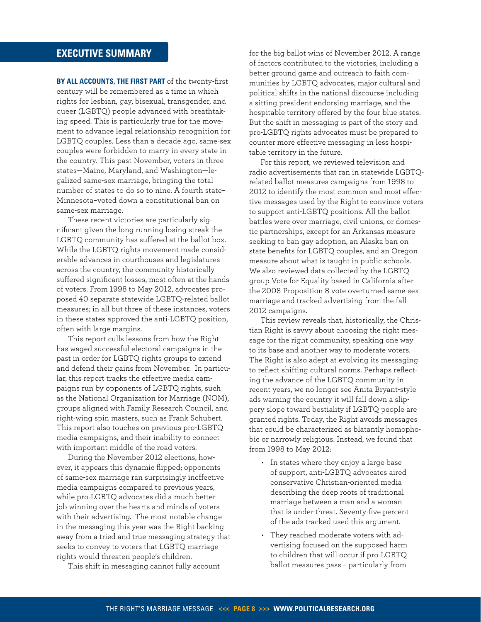**By all accounts, the first part** of the twenty-first century will be remembered as a time in which rights for lesbian, gay, bisexual, transgender, and queer (LGBTQ) people advanced with breathtaking speed. This is particularly true for the movement to advance legal relationship recognition for LGBTQ couples. Less than a decade ago, same-sex couples were forbidden to marry in every state in the country. This past November, voters in three states—Maine, Maryland, and Washington—legalized same-sex marriage, bringing the total number of states to do so to nine. A fourth state– Minnesota–voted down a constitutional ban on same-sex marriage.

These recent victories are particularly significant given the long running losing streak the LGBTQ community has suffered at the ballot box. While the LGBTQ rights movement made considerable advances in courthouses and legislatures across the country, the community historically suffered significant losses, most often at the hands of voters. From 1998 to May 2012, advocates proposed 40 separate statewide LGBTQ-related ballot measures; in all but three of these instances, voters in these states approved the anti-LGBTQ position, often with large margins.

This report culls lessons from how the Right has waged successful electoral campaigns in the past in order for LGBTQ rights groups to extend and defend their gains from November. In particular, this report tracks the effective media campaigns run by opponents of LGBTQ rights, such as the National Organization for Marriage (NOM), groups aligned with Family Research Council, and right-wing spin masters, such as Frank Schubert. This report also touches on previous pro-LGBTQ media campaigns, and their inability to connect with important middle of the road voters.

During the November 2012 elections, however, it appears this dynamic flipped; opponents of same-sex marriage ran surprisingly ineffective media campaigns compared to previous years, while pro-LGBTQ advocates did a much better job winning over the hearts and minds of voters with their advertising. The most notable change in the messaging this year was the Right backing away from a tried and true messaging strategy that seeks to convey to voters that LGBTQ marriage rights would threaten people's children.

This shift in messaging cannot fully account

<span id="page-7-0"></span>**EXECUTIVE SUMMARY EXECUTIVE SUMMARY** *n* **EXECUTIVE** SUMMARY of factors contributed to the victories, including a better ground game and outreach to faith communities by LGBTQ advocates, major cultural and political shifts in the national discourse including a sitting president endorsing marriage, and the hospitable territory offered by the four blue states. But the shift in messaging is part of the story and pro-LGBTQ rights advocates must be prepared to counter more effective messaging in less hospitable territory in the future.

> For this report, we reviewed television and radio advertisements that ran in statewide LGBTQrelated ballot measures campaigns from 1998 to 2012 to identify the most common and most effective messages used by the Right to convince voters to support anti-LGBTQ positions. All the ballot battles were over marriage, civil unions, or domestic partnerships, except for an Arkansas measure seeking to ban gay adoption, an Alaska ban on state benefits for LGBTQ couples, and an Oregon measure about what is taught in public schools. We also reviewed data collected by the LGBTQ group Vote for Equality based in California after the 2008 Proposition 8 vote overturned same-sex marriage and tracked advertising from the fall 2012 campaigns.

This review reveals that, historically, the Christian Right is savvy about choosing the right message for the right community, speaking one way to its base and another way to moderate voters. The Right is also adept at evolving its messaging to reflect shifting cultural norms. Perhaps reflecting the advance of the LGBTQ community in recent years, we no longer see Anita Bryant-style ads warning the country it will fall down a slippery slope toward bestiality if LGBTQ people are granted rights. Today, the Right avoids messages that could be characterized as blatantly homophobic or narrowly religious. Instead, we found that from 1998 to May 2012:

- • In states where they enjoy a large base of support, anti-LGBTQ advocates aired conservative Christian-oriented media describing the deep roots of traditional marriage between a man and a woman that is under threat. Seventy-five percent of the ads tracked used this argument.
- They reached moderate voters with advertising focused on the supposed harm to children that will occur if pro-LGBTQ ballot measures pass – particularly from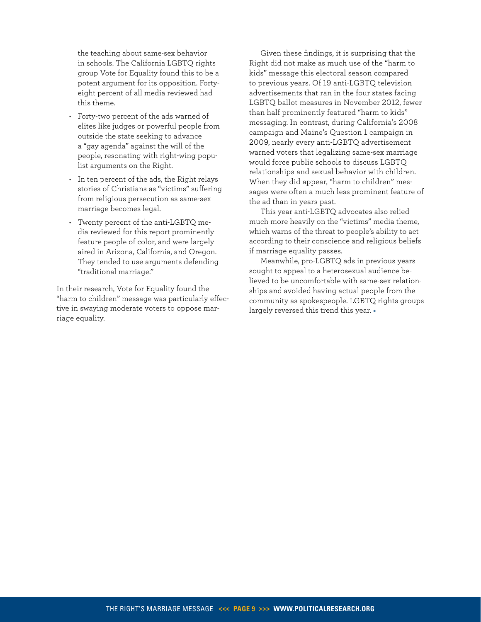the teaching about same-sex behavior in schools. The California LGBTQ rights group Vote for Equality found this to be a potent argument for its opposition. Fortyeight percent of all media reviewed had this theme.

- • Forty-two percent of the ads warned of elites like judges or powerful people from outside the state seeking to advance a "gay agenda" against the will of the people, resonating with right-wing populist arguments on the Right.
- • In ten percent of the ads, the Right relays stories of Christians as "victims" suffering from religious persecution as same-sex marriage becomes legal.
- • Twenty percent of the anti-LGBTQ media reviewed for this report prominently feature people of color, and were largely aired in Arizona, California, and Oregon. They tended to use arguments defending "traditional marriage."

In their research, Vote for Equality found the "harm to children" message was particularly effective in swaying moderate voters to oppose marriage equality.

Given these findings, it is surprising that the Right did not make as much use of the "harm to kids" message this electoral season compared to previous years. Of 19 anti-LGBTQ television advertisements that ran in the four states facing LGBTQ ballot measures in November 2012, fewer than half prominently featured "harm to kids" messaging. In contrast, during California's 2008 campaign and Maine's Question 1 campaign in 2009, nearly every anti-LGBTQ advertisement warned voters that legalizing same-sex marriage would force public schools to discuss LGBTQ relationships and sexual behavior with children. When they did appear, "harm to children" messages were often a much less prominent feature of the ad than in years past.

This year anti-LGBTQ advocates also relied much more heavily on the "victims" media theme, which warns of the threat to people's ability to act according to their conscience and religious beliefs if marriage equality passes.

Meanwhile, pro-LGBTQ ads in previous years sought to appeal to a heterosexual audience believed to be uncomfortable with same-sex relationships and avoided having actual people from the community as spokespeople. LGBTQ rights groups largely reversed this trend this year. \*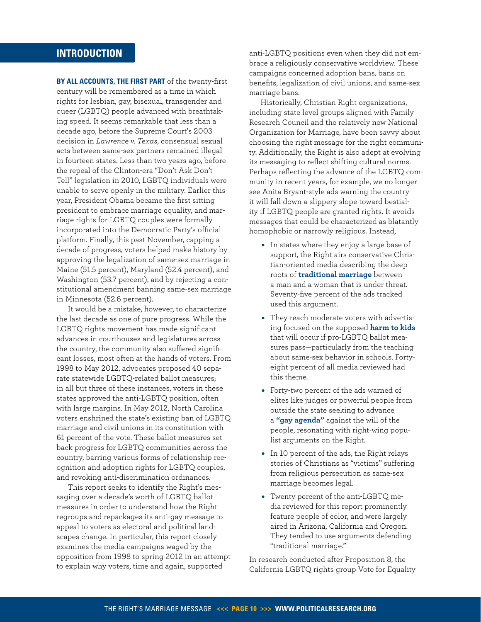# <span id="page-9-0"></span>**INTRODUCTION**

**By all accounts, the first part** of the twenty-first century will be remembered as a time in which rights for lesbian, gay, bisexual, transgender and queer (LGBTQ) people advanced with breathtaking speed. It seems remarkable that less than a decade ago, before the Supreme Court's 2003 decision in *Lawrence v. Texas*, consensual sexual acts between same-sex partners remained illegal in fourteen states. Less than two years ago, before the repeal of the Clinton-era "Don't Ask Don't Tell" legislation in 2010, LGBTQ individuals were unable to serve openly in the military. Earlier this year, President Obama became the first sitting president to embrace marriage equality, and marriage rights for LGBTQ couples were formally incorporated into the Democratic Party's official platform. Finally, this past November, capping a decade of progress, voters helped make history by approving the legalization of same-sex marriage in Maine (51.5 percent), Maryland (52.4 percent), and Washington (53.7 percent), and by rejecting a constitutional amendment banning same-sex marriage in Minnesota (52.6 percent).

It would be a mistake, however, to characterize the last decade as one of pure progress. While the LGBTQ rights movement has made significant advances in courthouses and legislatures across the country, the community also suffered significant losses, most often at the hands of voters. From 1998 to May 2012, advocates proposed 40 separate statewide LGBTQ-related ballot measures; in all but three of these instances, voters in these states approved the anti-LGBTQ position, often with large margins. In May 2012, North Carolina voters enshrined the state's existing ban of LGBTQ marriage and civil unions in its constitution with 61 percent of the vote. These ballot measures set back progress for LGBTQ communities across the country, barring various forms of relationship recognition and adoption rights for LGBTQ couples, and revoking anti-discrimination ordinances.

This report seeks to identify the Right's messaging over a decade's worth of LGBTQ ballot measures in order to understand how the Right regroups and repackages its anti-gay message to appeal to voters as electoral and political landscapes change. In particular, this report closely examines the media campaigns waged by the opposition from 1998 to spring 2012 in an attempt to explain why voters, time and again, supported

anti-LGBTQ positions even when they did not embrace a religiously conservative worldview. These campaigns concerned adoption bans, bans on benefits, legalization of civil unions, and same-sex marriage bans.

Historically, Christian Right organizations, including state level groups aligned with Family Research Council and the relatively new National Organization for Marriage, have been savvy about choosing the right message for the right community. Additionally, the Right is also adept at evolving its messaging to reflect shifting cultural norms. Perhaps reflecting the advance of the LGBTQ community in recent years, for example, we no longer see Anita Bryant-style ads warning the country it will fall down a slippery slope toward bestiality if LGBTQ people are granted rights. It avoids messages that could be characterized as blatantly homophobic or narrowly religious. Instead,

- In states where they enjoy a large base of support, the Right airs conservative Christian-oriented media describing the deep roots of **traditional marriage** between a man and a woman that is under threat. Seventy-five percent of the ads tracked used this argument.
- They reach moderate voters with advertising focused on the supposed **harm to kids** that will occur if pro-LGBTQ ballot measures pass—particularly from the teaching about same-sex behavior in schools. Fortyeight percent of all media reviewed had this theme.
- Forty-two percent of the ads warned of elites like judges or powerful people from outside the state seeking to advance a **"gay agenda"** against the will of the people, resonating with right-wing populist arguments on the Right.
- In 10 percent of the ads, the Right relays stories of Christians as "victims" suffering from religious persecution as same-sex marriage becomes legal.
- Twenty percent of the anti-LGBTQ media reviewed for this report prominently feature people of color, and were largely aired in Arizona, California and Oregon. They tended to use arguments defending "traditional marriage."

In research conducted after Proposition 8, the California LGBTQ rights group Vote for Equality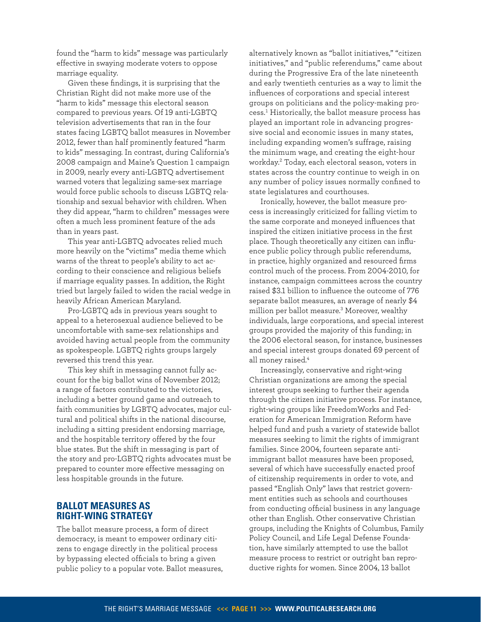found the "harm to kids" message was particularly effective in swaying moderate voters to oppose marriage equality.

Given these findings, it is surprising that the Christian Right did not make more use of the "harm to kids" message this electoral season compared to previous years. Of 19 anti-LGBTQ television advertisements that ran in the four states facing LGBTQ ballot measures in November 2012, fewer than half prominently featured "harm to kids" messaging. In contrast, during California's 2008 campaign and Maine's Question 1 campaign in 2009, nearly every anti-LGBTQ advertisement warned voters that legalizing same-sex marriage would force public schools to discuss LGBTQ relationship and sexual behavior with children. When they did appear, "harm to children" messages were often a much less prominent feature of the ads than in years past.

This year anti-LGBTQ advocates relied much more heavily on the "victims" media theme which warns of the threat to people's ability to act according to their conscience and religious beliefs if marriage equality passes. In addition, the Right tried but largely failed to widen the racial wedge in heavily African American Maryland.

Pro-LGBTQ ads in previous years sought to appeal to a heterosexual audience believed to be uncomfortable with same-sex relationships and avoided having actual people from the community as spokespeople. LGBTQ rights groups largely reversed this trend this year.

This key shift in messaging cannot fully account for the big ballot wins of November 2012; a range of factors contributed to the victories, including a better ground game and outreach to faith communities by LGBTQ advocates, major cultural and political shifts in the national discourse, including a sitting president endorsing marriage, and the hospitable territory offered by the four blue states. But the shift in messaging is part of the story and pro-LGBTQ rights advocates must be prepared to counter more effective messaging on less hospitable grounds in the future.

# **Ballot Measures as Right-Wing Strategy**

The ballot measure process, a form of direct democracy, is meant to empower ordinary citizens to engage directly in the political process by bypassing elected officials to bring a given public policy to a popular vote. Ballot measures,

alternatively known as "ballot initiatives," "citizen initiatives," and "public referendums," came about during the Progressive Era of the late nineteenth and early twentieth centuries as a way to limit the influences of corporations and special interest groups on politicians and the policy-making process.[1](#page-36-1) Historically, the ballot measure process has played an important role in advancing progressive social and economic issues in many states, including expanding women's suffrage, raising the minimum wage, and creating the eight-hour workday.[2](#page-36-2) Today, each electoral season, voters in states across the country continue to weigh in on any number of policy issues normally confined to state legislatures and courthouses.

Ironically, however, the ballot measure process is increasingly criticized for falling victim to the same corporate and moneyed influences that inspired the citizen initiative process in the first place. Though theoretically any citizen can influence public policy through public referendums, in practice, highly organized and resourced firms control much of the process. From 2004-2010, for instance, campaign committees across the country raised \$3.1 billion to influence the outcome of 776 separate ballot measures, an average of nearly \$4 million per ballot measure.[3](#page-36-3) Moreover, wealthy individuals, large corporations, and special interest groups provided the majority of this funding; in the 2006 electoral season, for instance, businesses and special interest groups donated 69 percent of all money raised.<sup>[4](#page-36-4)</sup>

Increasingly, conservative and right-wing Christian organizations are among the special interest groups seeking to further their agenda through the citizen initiative process. For instance, right-wing groups like FreedomWorks and Federation for American Immigration Reform have helped fund and push a variety of statewide ballot measures seeking to limit the rights of immigrant families. Since 2004, fourteen separate antiimmigrant ballot measures have been proposed, several of which have successfully enacted proof of citizenship requirements in order to vote, and passed "English Only" laws that restrict government entities such as schools and courthouses from conducting official business in any language other than English. Other conservative Christian groups, including the Knights of Columbus, Family Policy Council, and Life Legal Defense Foundation, have similarly attempted to use the ballot measure process to restrict or outright ban reproductive rights for women. Since 2004, 13 ballot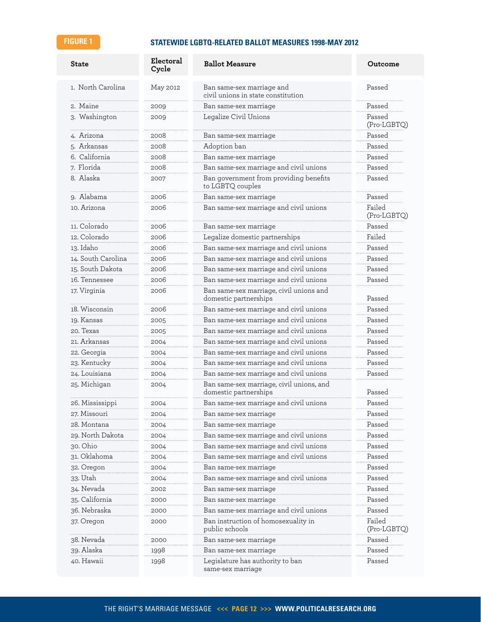# **FIGURE 1 STATEWIDE LGBTQ-RELATED BALLOT MEASURES 1998-MAY 2012**

| <b>State</b>       | Electoral<br>Cycle | <b>Ballot Measure</b>                                             | Outcome               |
|--------------------|--------------------|-------------------------------------------------------------------|-----------------------|
| 1. North Carolina  | May 2012           | Ban same-sex marriage and<br>civil unions in state constitution   | Passed                |
| 2. Maine           | 2009               | Ban same-sex marriage                                             | Passed                |
| 3. Washington      | 2009               | Legalize Civil Unions                                             | Passed<br>(Pro-LGBTQ) |
| 4. Arizona         | 2008               | Ban same-sex marriage                                             | Passed                |
| 5. Arkansas        | 2008               | Adoption ban                                                      | Passed                |
| 6. California      | 2008               | Ban same-sex marriage                                             | Passed                |
| 7. Florida         | 2008               | Ban same-sex marriage and civil unions                            | Passed                |
| 8. Alaska          | 2007               | Ban government from providing benefits<br>to LGBTQ couples        | Passed                |
| 9. Alabama         | 2006               | Ban same-sex marriage                                             | Passed                |
| 10. Arizona        | 2006               | Ban same-sex marriage and civil unions                            | Failed<br>(Pro-LGBTQ) |
| 11. Colorado       | 2006               | Ban same-sex marriage                                             | Passed                |
| 12. Colorado       | 2006               | Legalize domestic partnerships                                    | Failed                |
| 13. Idaho          | 2006               | Ban same-sex marriage and civil unions                            | Passed                |
| 14. South Carolina | 2006               | Ban same-sex marriage and civil unions                            | Passed                |
| 15. South Dakota   | 2006               | Ban same-sex marriage and civil unions                            | Passed                |
| 16. Tennessee      | 2006               | Ban same-sex marriage and civil unions                            | Passed                |
| 17. Virginia       | 2006               | Ban same-sex marriage, civil unions and<br>domestic partnerships  | Passed                |
| 18. Wisconsin      | 2006               | Ban same-sex marriage and civil unions                            | Passed                |
| 19. Kansas         | 2005               | Ban same-sex marriage and civil unions                            | Passed                |
| 20. Texas          | 2005               | Ban same-sex marriage and civil unions                            | Passed                |
| 21. Arkansas       | 2004               | Ban same-sex marriage and civil unions                            | Passed                |
| 22. Georgia        | 2004               | Ban same-sex marriage and civil unions                            | Passed                |
| 23. Kentucky       | 2004               | Ban same-sex marriage and civil unions                            | Passed                |
| 24. Louisiana      | 2004               | Ban same-sex marriage and civil unions                            | Passed                |
| 25. Michigan       | 2004               | Ban same-sex marriage, civil unions, and<br>domestic partnerships | Passed                |
| 26. Mississippi    | 2004               | Ban same-sex marriage and civil unions                            | Passed                |
| 27. Missouri       | 2004               | Ban same-sex marriage                                             | Passed                |
| 28. Montana        | 2004               | Ban same-sex marriage                                             | Passed                |
| 29. North Dakota   | 2004               | Ban same-sex marriage and civil unions                            | Passed                |
| 30. Ohio           | 2004               | Ban same-sex marriage and civil unions                            | Passed                |
| 31. Oklahoma       | 2004               | Ban same-sex marriage and civil unions                            | Passed                |
| 32. Oregon         | 2004               | Ban same-sex marriage                                             | Passed                |
| 33. Utah           | 2004               | Ban same-sex marriage and civil unions                            | Passed                |
| 34. Nevada         | 2002               | Ban same-sex marriage                                             | Passed                |
| 35. California     | 2000               | Ban same-sex marriage                                             | Passed                |
| 36. Nebraska       | 2000               | Ban same-sex marriage and civil unions                            | Passed                |
| 37. Oregon         | 2000               | Ban instruction of homosexuality in<br>public schools             | Failed<br>(Pro-LGBTQ) |
| 38. Nevada         | 2000               | Ban same-sex marriage                                             | Passed                |
| 39. Alaska         | 1998               | Ban same-sex marriage                                             | Passed                |
| 40. Hawaii         | 1998               | Legislature has authority to ban<br>same-sex marriage             | Passed                |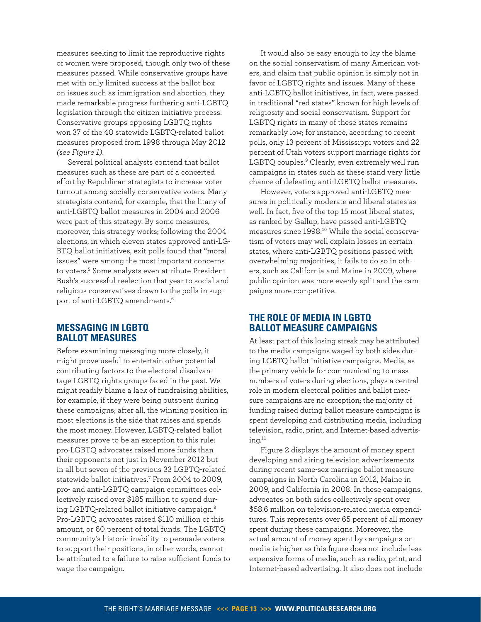measures seeking to limit the reproductive rights of women were proposed, though only two of these measures passed. While conservative groups have met with only limited success at the ballot box on issues such as immigration and abortion, they made remarkable progress furthering anti-LGBTQ legislation through the citizen initiative process. Conservative groups opposing LGBTQ rights won 37 of the 40 statewide LGBTQ-related ballot measures proposed from 1998 through May 2012 *(see Figure 1)*.

Several political analysts contend that ballot measures such as these are part of a concerted effort by Republican strategists to increase voter turnout among socially conservative voters. Many strategists contend, for example, that the litany of anti-LGBTQ ballot measures in 2004 and 2006 were part of this strategy. By some measures, moreover, this strategy works; following the 2004 elections, in which eleven states approved anti-LG-BTQ ballot initiatives, exit polls found that "moral issues" were among the most important concerns to voters.<sup>[5](#page-36-5)</sup> Some analysts even attribute President Bush's successful reelection that year to social and religious conservatives drawn to the polls in support of anti-LGBTQ amendments.[6](#page-36-6)

# **Messaging in LGBTQ Ballot Measures**

Before examining messaging more closely, it might prove useful to entertain other potential contributing factors to the electoral disadvantage LGBTQ rights groups faced in the past. We might readily blame a lack of fundraising abilities, for example, if they were being outspent during these campaigns; after all, the winning position in most elections is the side that raises and spends the most money. However, LGBTQ-related ballot measures prove to be an exception to this rule: pro-LGBTQ advocates raised more funds than their opponents not just in November 2012 but in all but seven of the previous 33 LGBTQ-related statewide ballot initiatives.[7](#page-36-7) From 2004 to 2009, pro- and anti-LGBTQ campaign committees collectively raised over \$185 million to spend during LGBTQ-related ballot initiative campaign.[8](#page-36-8) Pro-LGBTQ advocates raised \$110 million of this amount, or 60 percent of total funds. The LGBTQ community's historic inability to persuade voters to support their positions, in other words, cannot be attributed to a failure to raise sufficient funds to wage the campaign.

It would also be easy enough to lay the blame on the social conservatism of many American voters, and claim that public opinion is simply not in favor of LGBTQ rights and issues. Many of these anti-LGBTQ ballot initiatives, in fact, were passed in traditional "red states" known for high levels of religiosity and social conservatism. Support for LGBTQ rights in many of these states remains remarkably low; for instance, according to recent polls, only 13 percent of Mississippi voters and 22 percent of Utah voters support marriage rights for LGBTQ couples.<sup>[9](#page-36-9)</sup> Clearly, even extremely well run campaigns in states such as these stand very little chance of defeating anti-LGBTQ ballot measures.

However, voters approved anti-LGBTQ measures in politically moderate and liberal states as well. In fact, five of the top 15 most liberal states, as ranked by Gallup, have passed anti-LGBTQ measures since 1998.[10](#page-36-10) While the social conservatism of voters may well explain losses in certain states, where anti-LGBTQ positions passed with overwhelming majorities, it fails to do so in others, such as California and Maine in 2009, where public opinion was more evenly split and the campaigns more competitive.

# **The Role of Media in LGBTQ Ballot Measure Campaigns**

At least part of this losing streak may be attributed to the media campaigns waged by both sides during LGBTQ ballot initiative campaigns. Media, as the primary vehicle for communicating to mass numbers of voters during elections, plays a central role in modern electoral politics and ballot measure campaigns are no exception; the majority of funding raised during ballot measure campaigns is spent developing and distributing media, including television, radio, print, and Internet-based advertising.[11](#page-36-11)

Figure 2 displays the amount of money spent developing and airing television advertisements during recent same-sex marriage ballot measure campaigns in North Carolina in 2012, Maine in 2009, and California in 2008. In these campaigns, advocates on both sides collectively spent over \$58.6 million on television-related media expenditures. This represents over 65 percent of all money spent during these campaigns. Moreover, the actual amount of money spent by campaigns on media is higher as this figure does not include less expensive forms of media, such as radio, print, and Internet-based advertising. It also does not include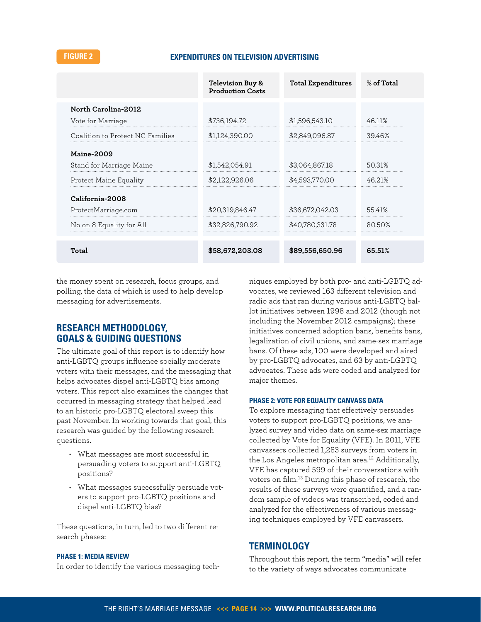### **FIGURE 2 EXPENDITURES ON TELEVISION ADVERTISING**

|                                  | Television Buy &<br><b>Production Costs</b> | <b>Total Expenditures</b> | % of Total |
|----------------------------------|---------------------------------------------|---------------------------|------------|
| North Carolina-2012              |                                             |                           |            |
| Vote for Marriage                | \$736,194.72                                | \$1,596,543.10            | 46.11%     |
| Coalition to Protect NC Families | \$1,124,390.00                              | \$2,849,096.87            | 39.46%     |
| <b>Maine-2009</b>                |                                             |                           |            |
| Stand for Marriage Maine         | \$1,542,054.91                              | \$3,064,867.18            | 50.31%     |
| Protect Maine Equality           | \$2,122,926,06                              | \$4,593,770.00            | 46.21%     |
| California-2008                  |                                             |                           |            |
| ProtectMarriage.com              | \$20,319,846.47                             | \$36,672,042.03           | 55.41%     |
| No on 8 Equality for All         | \$32,826,790.92                             | \$40.780.331.78           | 80.50%     |
|                                  |                                             |                           |            |
| Total                            | \$58,672,203.08                             | \$89,556,650.96           | 65.51%     |

the money spent on research, focus groups, and polling, the data of which is used to help develop messaging for advertisements.

# **Research Methodology, Goals & Guiding Questions**

The ultimate goal of this report is to identify how anti-LGBTQ groups influence socially moderate voters with their messages, and the messaging that helps advocates dispel anti-LGBTQ bias among voters. This report also examines the changes that occurred in messaging strategy that helped lead to an historic pro-LGBTQ electoral sweep this past November. In working towards that goal, this research was guided by the following research questions.

- • What messages are most successful in persuading voters to support anti-LGBTQ positions?
- What messages successfully persuade voters to support pro-LGBTQ positions and dispel anti-LGBTQ bias?

These questions, in turn, led to two different research phases:

#### **Phase 1: Media Review**

In order to identify the various messaging tech-

niques employed by both pro- and anti-LGBTQ advocates, we reviewed 163 different television and radio ads that ran during various anti-LGBTQ ballot initiatives between 1998 and 2012 (though not including the November 2012 campaigns); these initiatives concerned adoption bans, benefits bans, legalization of civil unions, and same-sex marriage bans. Of these ads, 100 were developed and aired by pro-LGBTQ advocates, and 63 by anti-LGBTQ advocates. These ads were coded and analyzed for major themes.

#### **Phase 2: Vote for Equality Canvass Data**

To explore messaging that effectively persuades voters to support pro-LGBTQ positions, we analyzed survey and video data on same-sex marriage collected by Vote for Equality (VFE). In 2011, VFE canvassers collected 1,283 surveys from voters in the Los Angeles metropolitan area.<sup>[12](#page-36-12)</sup> Additionally, VFE has captured 599 of their conversations with voters on film.[13](#page-36-13) During this phase of research, the results of these surveys were quantified, and a random sample of videos was transcribed, coded and analyzed for the effectiveness of various messaging techniques employed by VFE canvassers.

### **Terminology**

Throughout this report, the term "media" will refer to the variety of ways advocates communicate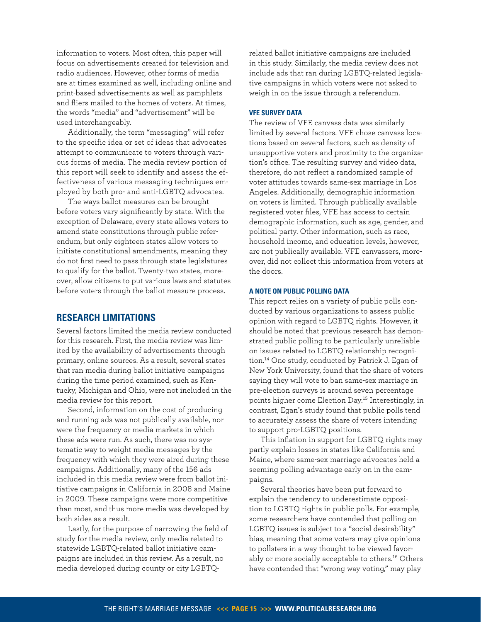information to voters. Most often, this paper will focus on advertisements created for television and radio audiences. However, other forms of media are at times examined as well, including online and print-based advertisements as well as pamphlets and fliers mailed to the homes of voters. At times, the words "media" and "advertisement" will be used interchangeably.

Additionally, the term "messaging" will refer to the specific idea or set of ideas that advocates attempt to communicate to voters through various forms of media. The media review portion of this report will seek to identify and assess the effectiveness of various messaging techniques employed by both pro- and anti-LGBTQ advocates.

The ways ballot measures can be brought before voters vary significantly by state. With the exception of Delaware, every state allows voters to amend state constitutions through public referendum, but only eighteen states allow voters to initiate constitutional amendments, meaning they do not first need to pass through state legislatures to qualify for the ballot. Twenty-two states, moreover, allow citizens to put various laws and statutes before voters through the ballot measure process.

# **Research Limitations**

Several factors limited the media review conducted for this research. First, the media review was limited by the availability of advertisements through primary, online sources. As a result, several states that ran media during ballot initiative campaigns during the time period examined, such as Kentucky, Michigan and Ohio, were not included in the media review for this report.

Second, information on the cost of producing and running ads was not publically available, nor were the frequency or media markets in which these ads were run. As such, there was no systematic way to weight media messages by the frequency with which they were aired during these campaigns. Additionally, many of the 156 ads included in this media review were from ballot initiative campaigns in California in 2008 and Maine in 2009. These campaigns were more competitive than most, and thus more media was developed by both sides as a result.

Lastly, for the purpose of narrowing the field of study for the media review, only media related to statewide LGBTQ-related ballot initiative campaigns are included in this review. As a result, no media developed during county or city LGBTQ-

related ballot initiative campaigns are included in this study. Similarly, the media review does not include ads that ran during LGBTQ-related legislative campaigns in which voters were not asked to weigh in on the issue through a referendum.

#### **VFE Survey Data**

The review of VFE canvass data was similarly limited by several factors. VFE chose canvass locations based on several factors, such as density of unsupportive voters and proximity to the organization's office. The resulting survey and video data, therefore, do not reflect a randomized sample of voter attitudes towards same-sex marriage in Los Angeles. Additionally, demographic information on voters is limited. Through publically available registered voter files, VFE has access to certain demographic information, such as age, gender, and political party. Other information, such as race, household income, and education levels, however, are not publically available. VFE canvassers, moreover, did not collect this information from voters at the doors.

#### **A Note on Public Polling Data**

This report relies on a variety of public polls conducted by various organizations to assess public opinion with regard to LGBTQ rights. However, it should be noted that previous research has demonstrated public polling to be particularly unreliable on issues related to LGBTQ relationship recognition.[14](#page-36-14) One study, conducted by Patrick J. Egan of New York University, found that the share of voters saying they will vote to ban same-sex marriage in pre-election surveys is around seven percentage points higher come Election Day.[15](#page-36-15) Interestingly, in contrast, Egan's study found that public polls tend to accurately assess the share of voters intending to support pro-LGBTQ positions.

This inflation in support for LGBTQ rights may partly explain losses in states like California and Maine, where same-sex marriage advocates held a seeming polling advantage early on in the campaigns.

Several theories have been put forward to explain the tendency to underestimate opposition to LGBTQ rights in public polls. For example, some researchers have contended that polling on LGBTQ issues is subject to a "social desirability" bias, meaning that some voters may give opinions to pollsters in a way thought to be viewed favor-ably or more socially acceptable to others.<sup>[16](#page-36-16)</sup> Others have contended that "wrong way voting," may play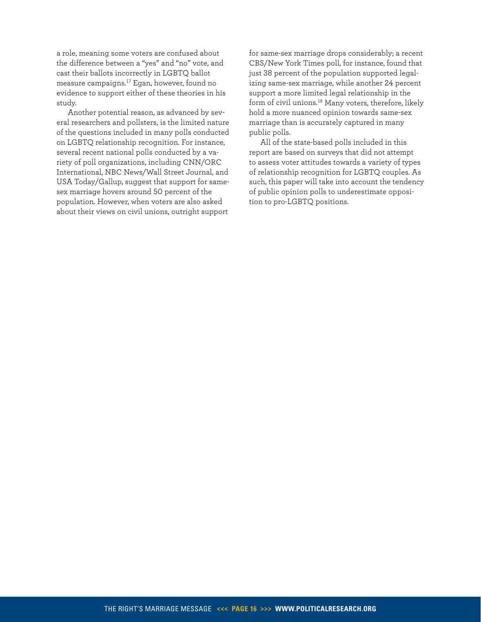a role, meaning some voters are confused about the difference between a "yes" and "no" vote, and cast their ballots incorrectly in LGBTQ ballot measure campaigns.[17](#page-36-17) Egan, however, found no evidence to support either of these theories in his study.

Another potential reason, as advanced by several researchers and pollsters, is the limited nature of the questions included in many polls conducted on LGBTQ relationship recognition. For instance, several recent national polls conducted by a variety of poll organizations, including CNN/ORC International, NBC News/Wall Street Journal, and USA Today/Gallup, suggest that support for samesex marriage hovers around 50 percent of the population. However, when voters are also asked about their views on civil unions, outright support

for same-sex marriage drops considerably; a recent CBS/New York Times poll, for instance, found that just 38 percent of the population supported legalizing same-sex marriage, while another 24 percent support a more limited legal relationship in the form of civil unions.[18](#page-36-18) Many voters, therefore, likely hold a more nuanced opinion towards same-sex marriage than is accurately captured in many public polls.

All of the state-based polls included in this report are based on surveys that did not attempt to assess voter attitudes towards a variety of types of relationship recognition for LGBTQ couples. As such, this paper will take into account the tendency of public opinion polls to underestimate opposition to pro-LGBTQ positions.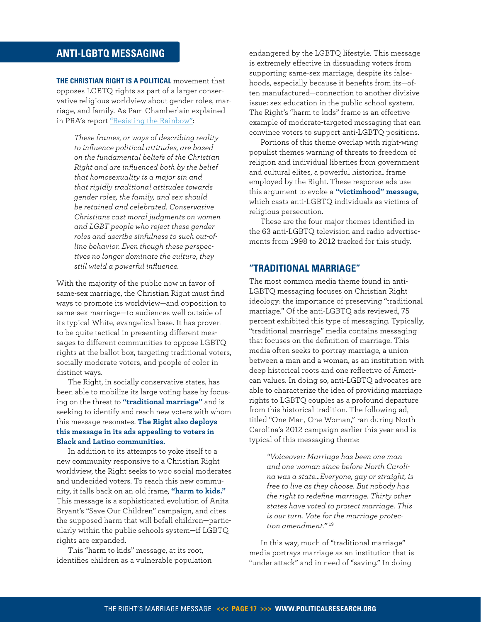# <span id="page-16-0"></span>**ANTI-LGBTQ MESSAGING**

**The Christian Right is a political** movement that opposes LGBTQ rights as part of a larger conservative religious worldview about gender roles, marriage, and family. As Pam Chamberlain explained in PRA's report ["Resisting the Rainbow"](http://www.politicalresearch.org/resources/reports/full-reports/resisting-the-rainbow-right-wing-responses-to-lgbt-gains/):

*These frames, or ways of describing reality to influence political attitudes, are based on the fundamental beliefs of the Christian Right and are influenced both by the belief that homosexuality is a major sin and that rigidly traditional attitudes towards gender roles, the family, and sex should be retained and celebrated. Conservative Christians cast moral judgments on women and LGBT people who reject these gender roles and ascribe sinfulness to such out-ofline behavior. Even though these perspectives no longer dominate the culture, they still wield a powerful influence.* 

With the majority of the public now in favor of same-sex marriage, the Christian Right must find ways to promote its worldview—and opposition to same-sex marriage—to audiences well outside of its typical White, evangelical base. It has proven to be quite tactical in presenting different messages to different communities to oppose LGBTQ rights at the ballot box, targeting traditional voters, socially moderate voters, and people of color in distinct ways.

The Right, in socially conservative states, has been able to mobilize its large voting base by focusing on the threat to **"traditional marriage"** and is seeking to identify and reach new voters with whom this message resonates. **The Right also deploys this message in its ads appealing to voters in Black and Latino communities.**

In addition to its attempts to yoke itself to a new community responsive to a Christian Right worldview, the Right seeks to woo social moderates and undecided voters. To reach this new community, it falls back on an old frame, **"harm to kids."** This message is a sophisticated evolution of Anita Bryant's "Save Our Children" campaign, and cites the supposed harm that will befall children—particularly within the public schools system—if LGBTQ rights are expanded.

This "harm to kids" message, at its root, identifies children as a vulnerable population

endangered by the LGBTQ lifestyle. This message is extremely effective in dissuading voters from supporting same-sex marriage, despite its falsehoods, especially because it benefits from its—often manufactured—connection to another divisive issue: sex education in the public school system. The Right's "harm to kids" frame is an effective example of moderate-targeted messaging that can convince voters to support anti-LGBTQ positions.

Portions of this theme overlap with right-wing populist themes warning of threats to freedom of religion and individual liberties from government and cultural elites, a powerful historical frame employed by the Right. These response ads use this argument to evoke a **"victimhood" message,** which casts anti-LGBTQ individuals as victims of religious persecution.

These are the four major themes identified in the 63 anti-LGBTQ television and radio advertisements from 1998 to 2012 tracked for this study.

# **"Traditional Marriage"**

The most common media theme found in anti-LGBTQ messaging focuses on Christian Right ideology: the importance of preserving "traditional marriage." Of the anti-LGBTQ ads reviewed, 75 percent exhibited this type of messaging. Typically, "traditional marriage" media contains messaging that focuses on the definition of marriage. This media often seeks to portray marriage, a union between a man and a woman, as an institution with deep historical roots and one reflective of American values. In doing so, anti-LGBTQ advocates are able to characterize the idea of providing marriage rights to LGBTQ couples as a profound departure from this historical tradition. The following ad, titled "One Man, One Woman," ran during North Carolina's 2012 campaign earlier this year and is typical of this messaging theme:

*"Voiceover: Marriage has been one man and one woman since before North Carolina was a state…Everyone, gay or straight, is free to live as they choose. But nobody has the right to redefine marriage. Thirty other states have voted to protect marriage. This is our turn. Vote for the marriage protection amendment."* [19](#page-36-19)

In this way, much of "traditional marriage" media portrays marriage as an institution that is "under attack" and in need of "saving." In doing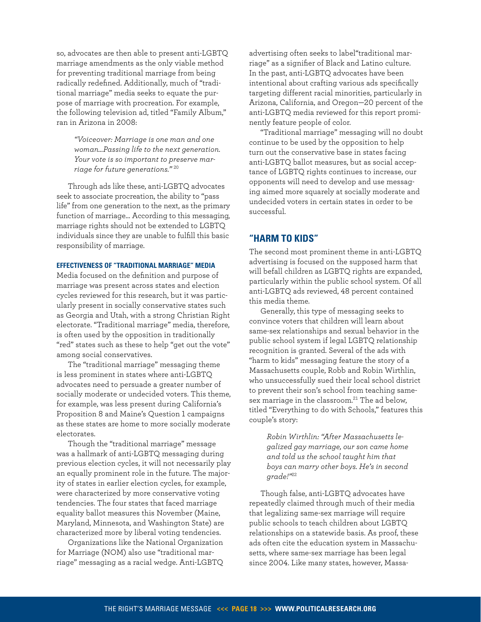so, advocates are then able to present anti-LGBTQ marriage amendments as the only viable method for preventing traditional marriage from being radically redefined. Additionally, much of "traditional marriage" media seeks to equate the purpose of marriage with procreation. For example, the following television ad, titled "Family Album," ran in Arizona in 2008:

> *"Voiceover: Marriage is one man and one woman…Passing life to the next generation. Your vote is so important to preserve marriage for future generations."* [20](#page-36-20)

Through ads like these, anti-LGBTQ advocates seek to associate procreation, the ability to "pass life" from one generation to the next, as the primary function of marriage… According to this messaging, marriage rights should not be extended to LGBTQ individuals since they are unable to fulfill this basic responsibility of marriage.

#### **Effectiveness of "traditional marriage" media**

Media focused on the definition and purpose of marriage was present across states and election cycles reviewed for this research, but it was particularly present in socially conservative states such as Georgia and Utah, with a strong Christian Right electorate. "Traditional marriage" media, therefore, is often used by the opposition in traditionally "red" states such as these to help "get out the vote" among social conservatives.

The "traditional marriage" messaging theme is less prominent in states where anti-LGBTQ advocates need to persuade a greater number of socially moderate or undecided voters. This theme, for example, was less present during California's Proposition 8 and Maine's Question 1 campaigns as these states are home to more socially moderate electorates.

Though the "traditional marriage" message was a hallmark of anti-LGBTQ messaging during previous election cycles, it will not necessarily play an equally prominent role in the future. The majority of states in earlier election cycles, for example, were characterized by more conservative voting tendencies. The four states that faced marriage equality ballot measures this November (Maine, Maryland, Minnesota, and Washington State) are characterized more by liberal voting tendencies.

Organizations like the National Organization for Marriage (NOM) also use "traditional marriage" messaging as a racial wedge. Anti-LGBTQ

advertising often seeks to label"traditional marriage" as a signifier of Black and Latino culture. In the past, anti-LGBTQ advocates have been intentional about crafting various ads specifically targeting different racial minorities, particularly in Arizona, California, and Oregon—20 percent of the anti-LGBTQ media reviewed for this report prominently feature people of color.

"Traditional marriage" messaging will no doubt continue to be used by the opposition to help turn out the conservative base in states facing anti-LGBTQ ballot measures, but as social acceptance of LGBTQ rights continues to increase, our opponents will need to develop and use messaging aimed more squarely at socially moderate and undecided voters in certain states in order to be successful.

# **"Harm to Kids"**

The second most prominent theme in anti-LGBTQ advertising is focused on the supposed harm that will befall children as LGBTQ rights are expanded, particularly within the public school system. Of all anti-LGBTQ ads reviewed, 48 percent contained this media theme.

Generally, this type of messaging seeks to convince voters that children will learn about same-sex relationships and sexual behavior in the public school system if legal LGBTQ relationship recognition is granted. Several of the ads with "harm to kids" messaging feature the story of a Massachusetts couple, Robb and Robin Wirthlin, who unsuccessfully sued their local school district to prevent their son's school from teaching same-sex marriage in the classroom.<sup>[21](#page-36-21)</sup> The ad below, titled "Everything to do with Schools," features this couple's story:

*Robin Wirthlin: "After Massachusetts legalized gay marriage, our son came home and told us the school taught him that boys can marry other boys. He's in second grade!"*[22](#page-36-22)

Though false, anti-LGBTQ advocates have repeatedly claimed through much of their media that legalizing same-sex marriage will require public schools to teach children about LGBTQ relationships on a statewide basis. As proof, these ads often cite the education system in Massachusetts, where same-sex marriage has been legal since 2004. Like many states, however, Massa-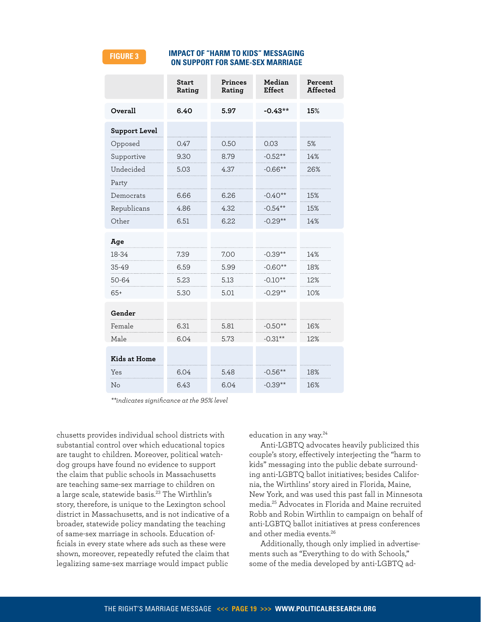#### **FIGURE 3**

#### **impact of "harm to kids" messaging on support for same-sex marriage**

|                      | <b>Start</b><br>Rating | Princes<br>Rating | Median<br><b>Effect</b> | Percent<br>Affected |
|----------------------|------------------------|-------------------|-------------------------|---------------------|
| Overall              | 6.40                   | 5.97              | $-0.43**$               | 15%                 |
| <b>Support Level</b> |                        |                   |                         |                     |
| Opposed              | 0.47                   | 0.50              | 0.03                    | 5%                  |
| Supportive           | 9.30                   | 8.79              | $-0.52**$               | 14%                 |
| Undecided            | 5.03                   | 4.37              | $-0.66**$               | 26%                 |
| Party                |                        |                   |                         |                     |
| Democrats            | 6.66                   | 6.26              | $-0.40**$               | 15%                 |
| Republicans          | 4.86                   | 4.32              | $-0.54**$               | 15%                 |
| Other                | 6.51                   | 6.22              | $-0.29**$               | 14%                 |
| Age                  |                        |                   |                         |                     |
| 18-34                | 7.39                   | 7.00              | $-0.39**$               | 14%                 |
| 35-49                | 6.59                   | 5.99              | $-0.60**$               | 18%                 |
| 50-64                | 5.23                   | 5.13              | $-0.10**$               | 12%                 |
| $65+$                | 5.30                   | 5.01              | $-0.29**$               | 10%                 |
| Gender               |                        |                   |                         |                     |
| Female               | 6.31                   | 5.81              | $-0.50**$               | 16%                 |
| Male                 | 6.04                   | 5.73              | $-0.31**$               | 12%                 |
| <b>Kids at Home</b>  |                        |                   |                         |                     |
| Yes                  | 6.04                   | 5.48              | $-0.56**$               | 18%                 |
| No                   | 6.43                   | 6.04              | $-0.39**$               | 16%                 |

*\*\*indicates significance at the 95% level*

chusetts provides individual school districts with substantial control over which educational topics are taught to children. Moreover, political watchdog groups have found no evidence to support the claim that public schools in Massachusetts are teaching same-sex marriage to children on a large scale, statewide basis.[23](#page-36-23) The Wirthlin's story, therefore, is unique to the Lexington school district in Massachusetts, and is not indicative of a broader, statewide policy mandating the teaching of same-sex marriage in schools. Education officials in every state where ads such as these were shown, moreover, repeatedly refuted the claim that legalizing same-sex marriage would impact public

education in any way.<sup>[24](#page-36-24)</sup>

Anti-LGBTQ advocates heavily publicized this couple's story, effectively interjecting the "harm to kids" messaging into the public debate surrounding anti-LGBTQ ballot initiatives; besides California, the Wirthlins' story aired in Florida, Maine, New York, and was used this past fall in Minnesota media.[25](#page-36-25) Advocates in Florida and Maine recruited Robb and Robin Wirthlin to campaign on behalf of anti-LGBTQ ballot initiatives at press conferences and other media events.[26](#page-37-0)

Additionally, though only implied in advertisements such as "Everything to do with Schools," some of the media developed by anti-LGBTQ ad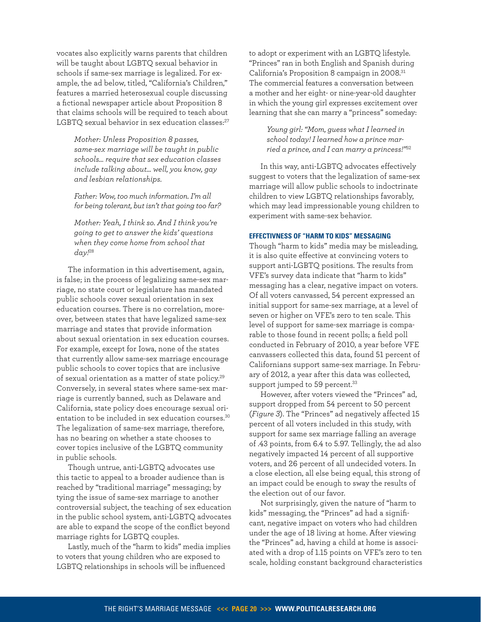vocates also explicitly warns parents that children will be taught about LGBTQ sexual behavior in schools if same-sex marriage is legalized. For example, the ad below, titled, "California's Children," features a married heterosexual couple discussing a fictional newspaper article about Proposition 8 that claims schools will be required to teach about LGBTO sexual behavior in sex education classes:<sup>[27](#page-37-1)</sup>

> *Mother: Unless Proposition 8 passes, same-sex marriage will be taught in public schools… require that sex education classes include talking about… well, you know, gay and lesbian relationships.*

> *Father: Wow, too much information. I'm all for being tolerant, but isn't that going too far?*

*Mother: Yeah, I think so. And I think you're going to get to answer the kids' questions when they come home from school that day!*[28](#page-37-2)

The information in this advertisement, again, is false; in the process of legalizing same-sex marriage, no state court or legislature has mandated public schools cover sexual orientation in sex education courses. There is no correlation, moreover, between states that have legalized same-sex marriage and states that provide information about sexual orientation in sex education courses. For example, except for Iowa, none of the states that currently allow same-sex marriage encourage public schools to cover topics that are inclusive of sexual orientation as a matter of state policy.[29](#page-37-3) Conversely, in several states where same-sex marriage is currently banned, such as Delaware and California, state policy does encourage sexual ori-entation to be included in sex education courses.<sup>[30](#page-37-4)</sup> The legalization of same-sex marriage, therefore, has no bearing on whether a state chooses to cover topics inclusive of the LGBTQ community in public schools.

Though untrue, anti-LGBTQ advocates use this tactic to appeal to a broader audience than is reached by "traditional marriage" messaging; by tying the issue of same-sex marriage to another controversial subject, the teaching of sex education in the public school system, anti-LGBTQ advocates are able to expand the scope of the conflict beyond marriage rights for LGBTQ couples.

Lastly, much of the "harm to kids" media implies to voters that young children who are exposed to LGBTQ relationships in schools will be influenced

to adopt or experiment with an LGBTQ lifestyle. "Princes" ran in both English and Spanish during California's Proposition 8 campaign in 2008.<sup>[31](#page-37-5)</sup> The commercial features a conversation between a mother and her eight- or nine-year-old daughter in which the young girl expresses excitement over learning that she can marry a "princess" someday:

> *Young girl: "Mom, guess what I learned in school today! I learned how a prince married a prince, and I can marry a princess!"*[32](#page-37-6)

In this way, anti-LGBTQ advocates effectively suggest to voters that the legalization of same-sex marriage will allow public schools to indoctrinate children to view LGBTQ relationships favorably, which may lead impressionable young children to experiment with same-sex behavior.

#### **Effectivness of "harm to kids" messaging**

Though "harm to kids" media may be misleading, it is also quite effective at convincing voters to support anti-LGBTQ positions. The results from VFE's survey data indicate that "harm to kids" messaging has a clear, negative impact on voters. Of all voters canvassed, 54 percent expressed an initial support for same-sex marriage, at a level of seven or higher on VFE's zero to ten scale. This level of support for same-sex marriage is comparable to those found in recent polls; a field poll conducted in February of 2010, a year before VFE canvassers collected this data, found 51 percent of Californians support same-sex marriage. In February of 2012, a year after this data was collected, support jumped to 59 percent.<sup>[33](#page-37-7)</sup>

However, after voters viewed the "Princes" ad, support dropped from 54 percent to 50 percent (*Figure 3*). The "Princes" ad negatively affected 15 percent of all voters included in this study, with support for same sex marriage falling an average of .43 points, from 6.4 to 5.97. Tellingly, the ad also negatively impacted 14 percent of all supportive voters, and 26 percent of all undecided voters. In a close election, all else being equal, this strong of an impact could be enough to sway the results of the election out of our favor.

Not surprisingly, given the nature of "harm to kids" messaging, the "Princes" ad had a significant, negative impact on voters who had children under the age of 18 living at home. After viewing the "Princes" ad, having a child at home is associated with a drop of 1.15 points on VFE's zero to ten scale, holding constant background characteristics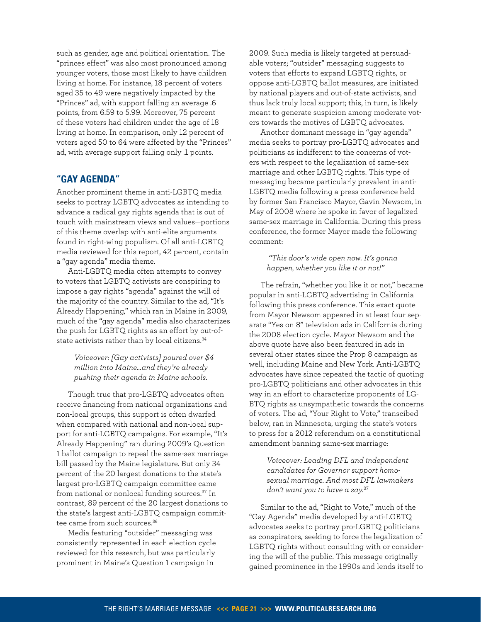such as gender, age and political orientation. The "princes effect" was also most pronounced among younger voters, those most likely to have children living at home. For instance, 18 percent of voters aged 35 to 49 were negatively impacted by the "Princes" ad, with support falling an average .6 points, from 6.59 to 5.99. Moreover, 75 percent of these voters had children under the age of 18 living at home. In comparison, only 12 percent of voters aged 50 to 64 were affected by the "Princes" ad, with average support falling only .1 points.

# **"Gay Agenda"**

Another prominent theme in anti-LGBTQ media seeks to portray LGBTQ advocates as intending to advance a radical gay rights agenda that is out of touch with mainstream views and values—portions of this theme overlap with anti-elite arguments found in right-wing populism. Of all anti-LGBTQ media reviewed for this report, 42 percent, contain a "gay agenda" media theme.

Anti-LGBTQ media often attempts to convey to voters that LGBTQ activists are conspiring to impose a gay rights "agenda" against the will of the majority of the country. Similar to the ad, "It's Already Happening," which ran in Maine in 2009, much of the "gay agenda" media also characterizes the push for LGBTQ rights as an effort by out-of-state activists rather than by local citizens.<sup>[34](#page-37-8)</sup>

#### *Voiceover: [Gay activists] poured over \$4 million into Maine…and they're already pushing their agenda in Maine schools.*

Though true that pro-LGBTQ advocates often receive financing from national organizations and non-local groups, this support is often dwarfed when compared with national and non-local support for anti-LGBTQ campaigns. For example, "It's Already Happening" ran during 2009's Question 1 ballot campaign to repeal the same-sex marriage bill passed by the Maine legislature. But only 34 percent of the 20 largest donations to the state's largest pro-LGBTQ campaign committee came from national or nonlocal funding sources.[37](#page-37-9) In contrast, 89 percent of the 20 largest donations to the state's largest anti-LGBTQ campaign commit-tee came from such sources.<sup>[36](#page-37-10)</sup>

Media featuring "outsider" messaging was consistently represented in each election cycle reviewed for this research, but was particularly prominent in Maine's Question 1 campaign in

2009. Such media is likely targeted at persuadable voters; "outsider" messaging suggests to voters that efforts to expand LGBTQ rights, or oppose anti-LGBTQ ballot measures, are initiated by national players and out-of-state activists, and thus lack truly local support; this, in turn, is likely meant to generate suspicion among moderate voters towards the motives of LGBTQ advocates.

Another dominant message in "gay agenda" media seeks to portray pro-LGBTQ advocates and politicians as indifferent to the concerns of voters with respect to the legalization of same-sex marriage and other LGBTQ rights. This type of messaging became particularly prevalent in anti-LGBTQ media following a press conference held by former San Francisco Mayor, Gavin Newsom, in May of 2008 where he spoke in favor of legalized same-sex marriage in California. During this press conference, the former Mayor made the following comment:

### *"This door's wide open now. It's gonna happen, whether you like it or not!"*

The refrain, "whether you like it or not," became popular in anti-LGBTQ advertising in California following this press conference. This exact quote from Mayor Newsom appeared in at least four separate "Yes on 8" television ads in California during the 2008 election cycle. Mayor Newsom and the above quote have also been featured in ads in several other states since the Prop 8 campaign as well, including Maine and New York. Anti-LGBTQ advocates have since repeated the tactic of quoting pro-LGBTQ politicians and other advocates in this way in an effort to characterize proponents of LG-BTQ rights as unsympathetic towards the concerns of voters. The ad, "Your Right to Vote," transcibed below, ran in Minnesota, urging the state's voters to press for a 2012 referendum on a constitutional amendment banning same-sex marriage:

#### *Voiceover: Leading DFL and independent candidates for Governor support homosexual marriage. And most DFL lawmakers don't want you to have a say.*[37](#page-37-9)

Similar to the ad, "Right to Vote," much of the "Gay Agenda" media developed by anti-LGBTQ advocates seeks to portray pro-LGBTQ politicians as conspirators, seeking to force the legalization of LGBTQ rights without consulting with or considering the will of the public. This message originally gained prominence in the 1990s and lends itself to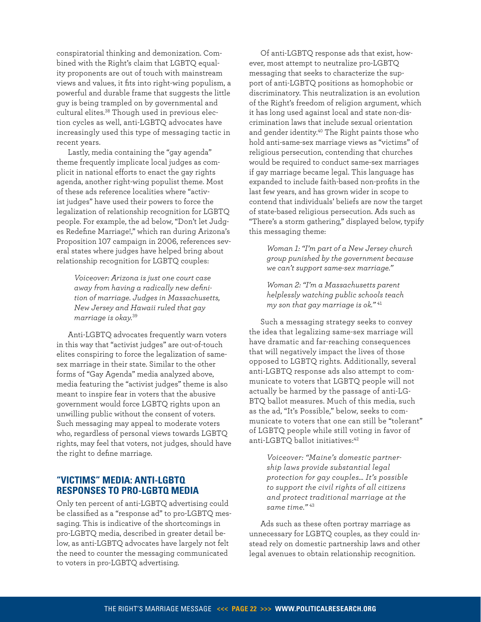conspiratorial thinking and demonization. Combined with the Right's claim that LGBTQ equality proponents are out of touch with mainstream views and values, it fits into right-wing populism, a powerful and durable frame that suggests the little guy is being trampled on by governmental and cultural elites.[38](#page-37-11) Though used in previous election cycles as well, anti-LGBTQ advocates have increasingly used this type of messaging tactic in recent years.

Lastly, media containing the "gay agenda" theme frequently implicate local judges as complicit in national efforts to enact the gay rights agenda, another right-wing populist theme. Most of these ads reference localities where "activist judges" have used their powers to force the legalization of relationship recognition for LGBTQ people. For example, the ad below, "Don't let Judges Redefine Marriage!," which ran during Arizona's Proposition 107 campaign in 2006, references several states where judges have helped bring about relationship recognition for LGBTQ couples:

> *Voiceover: Arizona is just one court case away from having a radically new definition of marriage. Judges in Massachusetts, New Jersey and Hawaii ruled that gay marriage is okay.*[39](#page-37-12)

Anti-LGBTQ advocates frequently warn voters in this way that "activist judges" are out-of-touch elites conspiring to force the legalization of samesex marriage in their state. Similar to the other forms of "Gay Agenda" media analyzed above, media featuring the "activist judges" theme is also meant to inspire fear in voters that the abusive government would force LGBTQ rights upon an unwilling public without the consent of voters. Such messaging may appeal to moderate voters who, regardless of personal views towards LGBTQ rights, may feel that voters, not judges, should have the right to define marriage.

# **"Victims" Media: Anti-LGBTQ Responses to Pro-LGBTQ Media**

Only ten percent of anti-LGBTQ advertising could be classified as a "response ad" to pro-LGBTQ messaging. This is indicative of the shortcomings in pro-LGBTQ media, described in greater detail below, as anti-LGBTQ advocates have largely not felt the need to counter the messaging communicated to voters in pro-LGBTQ advertising.

Of anti-LGBTQ response ads that exist, however, most attempt to neutralize pro-LGBTQ messaging that seeks to characterize the support of anti-LGBTQ positions as homophobic or discriminatory. This neutralization is an evolution of the Right's freedom of religion argument, which it has long used against local and state non-discrimination laws that include sexual orientation and gender identity.[40](#page-37-13) The Right paints those who hold anti-same-sex marriage views as "victims" of religious persecution, contending that churches would be required to conduct same-sex marriages if gay marriage became legal. This language has expanded to include faith-based non-profits in the last few years, and has grown wider in scope to contend that individuals' beliefs are now the target of state-based religious persecution. Ads such as "There's a storm gathering," displayed below, typify this messaging theme:

*Woman 1: "I'm part of a New Jersey church group punished by the government because we can't support same-sex marriage."*

*Woman 2: "I'm a Massachusetts parent helplessly watching public schools teach my son that gay marriage is ok."* [41](#page-37-14)

Such a messaging strategy seeks to convey the idea that legalizing same-sex marriage will have dramatic and far-reaching consequences that will negatively impact the lives of those opposed to LGBTQ rights. Additionally, several anti-LGBTQ response ads also attempt to communicate to voters that LGBTQ people will not actually be harmed by the passage of anti-LG-BTQ ballot measures. Much of this media, such as the ad, "It's Possible," below, seeks to communicate to voters that one can still be "tolerant" of LGBTQ people while still voting in favor of anti-LGBTO ballot initiatives:<sup>[42](#page-37-15)</sup>

> *Voiceover: "Maine's domestic partnership laws provide substantial legal protection for gay couples… It's possible to support the civil rights of all citizens and protect traditional marriage at the same time."* [43](#page-37-16)

Ads such as these often portray marriage as unnecessary for LGBTQ couples, as they could instead rely on domestic partnership laws and other legal avenues to obtain relationship recognition.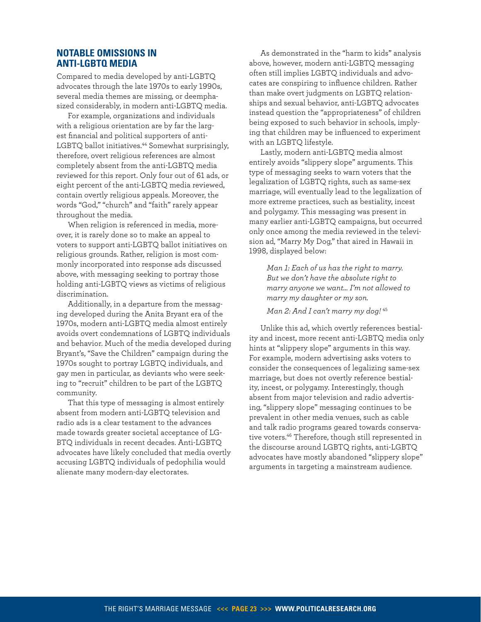## **Notable Omissions in Anti-LGBTQ Media**

Compared to media developed by anti-LGBTQ advocates through the late 1970s to early 1990s, several media themes are missing, or deemphasized considerably, in modern anti-LGBTQ media.

For example, organizations and individuals with a religious orientation are by far the largest financial and political supporters of anti-LGBTQ ballot initiatives.<sup>[44](#page-37-19)</sup> Somewhat surprisingly, therefore, overt religious references are almost completely absent from the anti-LGBTQ media reviewed for this report. Only four out of 61 ads, or eight percent of the anti-LGBTQ media reviewed, contain overtly religious appeals. Moreover, the words "God," "church" and "faith" rarely appear throughout the media.

When religion is referenced in media, moreover, it is rarely done so to make an appeal to voters to support anti-LGBTQ ballot initiatives on religious grounds. Rather, religion is most commonly incorporated into response ads discussed above, with messaging seeking to portray those holding anti-LGBTQ views as victims of religious discrimination.

Additionally, in a departure from the messaging developed during the Anita Bryant era of the 1970s, modern anti-LGBTQ media almost entirely avoids overt condemnations of LGBTQ individuals and behavior. Much of the media developed during Bryant's, "Save the Children" campaign during the 1970s sought to portray LGBTQ individuals, and gay men in particular, as deviants who were seeking to "recruit" children to be part of the LGBTQ community.

That this type of messaging is almost entirely absent from modern anti-LGBTQ television and radio ads is a clear testament to the advances made towards greater societal acceptance of LG-BTQ individuals in recent decades. Anti-LGBTQ advocates have likely concluded that media overtly accusing LGBTQ individuals of pedophilia would alienate many modern-day electorates.

As demonstrated in the "harm to kids" analysis above, however, modern anti-LGBTQ messaging often still implies LGBTQ individuals and advocates are conspiring to influence children. Rather than make overt judgments on LGBTQ relationships and sexual behavior, anti-LGBTQ advocates instead question the "appropriateness" of children being exposed to such behavior in schools, implying that children may be influenced to experiment with an LGBTQ lifestyle.

Lastly, modern anti-LGBTQ media almost entirely avoids "slippery slope" arguments. This type of messaging seeks to warn voters that the legalization of LGBTQ rights, such as same-sex marriage, will eventually lead to the legalization of more extreme practices, such as bestiality, incest and polygamy. This messaging was present in many earlier anti-LGBTQ campaigns, but occurred only once among the media reviewed in the television ad, "Marry My Dog," that aired in Hawaii in 1998, displayed below:

> *Man 1: Each of us has the right to marry. But we don't have the absolute right to marry anyone we want… I'm not allowed to marry my daughter or my son.*

*Man 2: And I can't marry my dog!* [45](#page-37-17)

Unlike this ad, which overtly references bestiality and incest, more recent anti-LGBTQ media only hints at "slippery slope" arguments in this way. For example, modern advertising asks voters to consider the consequences of legalizing same-sex marriage, but does not overtly reference bestiality, incest, or polygamy. Interestingly, though absent from major television and radio advertising, "slippery slope" messaging continues to be prevalent in other media venues, such as cable and talk radio programs geared towards conserva-tive voters.<sup>[46](#page-37-18)</sup> Therefore, though still represented in the discourse around LGBTQ rights, anti-LGBTQ advocates have mostly abandoned "slippery slope" arguments in targeting a mainstream audience.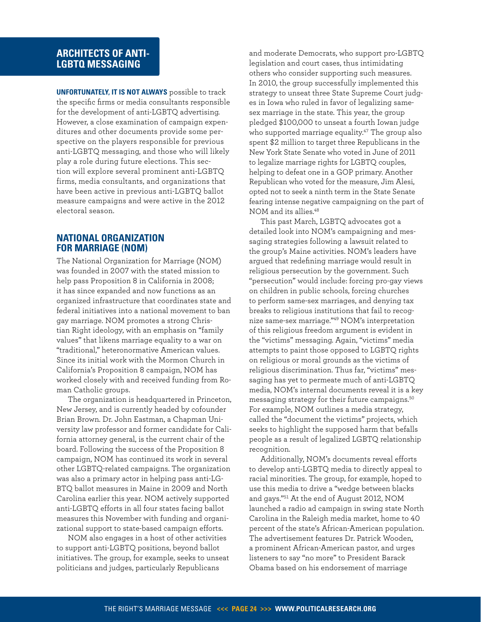# **ARCHITECTS OF ANTI-LGBTQ MESSAGING**

**Unfortunately, it is not always** possible to track the specific firms or media consultants responsible for the development of anti-LGBTQ advertising. However, a close examination of campaign expenditures and other documents provide some perspective on the players responsible for previous anti-LGBTQ messaging, and those who will likely play a role during future elections. This section will explore several prominent anti-LGBTQ firms, media consultants, and organizations that have been active in previous anti-LGBTQ ballot measure campaigns and were active in the 2012 electoral season.

# **National Organization for Marriage (NOM)**

The National Organization for Marriage (NOM) was founded in 2007 with the stated mission to help pass Proposition 8 in California in 2008; it has since expanded and now functions as an organized infrastructure that coordinates state and federal initiatives into a national movement to ban gay marriage. NOM promotes a strong Christian Right ideology, with an emphasis on "family values" that likens marriage equality to a war on "traditional," heteronormative American values. Since its initial work with the Mormon Church in California's Proposition 8 campaign, NOM has worked closely with and received funding from Roman Catholic groups.

The organization is headquartered in Princeton, New Jersey, and is currently headed by cofounder Brian Brown. Dr. John Eastman, a Chapman University law professor and former candidate for California attorney general, is the current chair of the board. Following the success of the Proposition 8 campaign, NOM has continued its work in several other LGBTQ-related campaigns. The organization was also a primary actor in helping pass anti-LG-BTQ ballot measures in Maine in 2009 and North Carolina earlier this year. NOM actively supported anti-LGBTQ efforts in all four states facing ballot measures this November with funding and organizational support to state-based campaign efforts.

NOM also engages in a host of other activities to support anti-LGBTQ positions, beyond ballot initiatives. The group, for example, seeks to unseat politicians and judges, particularly Republicans

and moderate Democrats, who support pro-LGBTQ legislation and court cases, thus intimidating others who consider supporting such measures. In 2010, the group successfully implemented this strategy to unseat three State Supreme Court judges in Iowa who ruled in favor of legalizing samesex marriage in the state. This year, the group pledged \$100,000 to unseat a fourth Iowan judge who supported marriage equality.<sup>[47](#page-37-20)</sup> The group also spent \$2 million to target three Republicans in the New York State Senate who voted in June of 2011 to legalize marriage rights for LGBTQ couples, helping to defeat one in a GOP primary. Another Republican who voted for the measure, Jim Alesi, opted not to seek a ninth term in the State Senate fearing intense negative campaigning on the part of NOM and its allies.[48](#page-37-21)

This past March, LGBTQ advocates got a detailed look into NOM's campaigning and messaging strategies following a lawsuit related to the group's Maine activities. NOM's leaders have argued that redefining marriage would result in religious persecution by the government. Such "persecution" would include: forcing pro-gay views on children in public schools, forcing churches to perform same-sex marriages, and denying tax breaks to religious institutions that fail to recognize same-sex marriage."[49](#page-37-22) NOM's interpretation of this religious freedom argument is evident in the "victims" messaging. Again, "victims" media attempts to paint those opposed to LGBTQ rights on religious or moral grounds as the victims of religious discrimination. Thus far, "victims" messaging has yet to permeate much of anti-LGBTQ media, NOM's internal documents reveal it is a key messaging strategy for their future campaigns.<sup>[50](#page-37-23)</sup> For example, NOM outlines a media strategy, called the "document the victims" projects, which seeks to highlight the supposed harm that befalls people as a result of legalized LGBTQ relationship recognition.

Additionally, NOM's documents reveal efforts to develop anti-LGBTQ media to directly appeal to racial minorities. The group, for example, hoped to use this media to drive a "wedge between blacks and gays."[51](#page-37-24) At the end of August 2012, NOM launched a radio ad campaign in swing state North Carolina in the Raleigh media market, home to 40 percent of the state's African-American population. The advertisement features Dr. Patrick Wooden, a prominent African-American pastor, and urges listeners to say "no more" to President Barack Obama based on his endorsement of marriage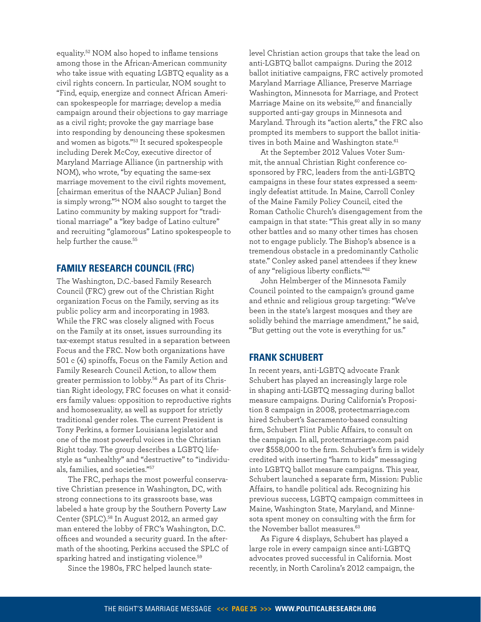equality.[52](#page-37-25) NOM also hoped to inflame tensions among those in the African-American community who take issue with equating LGBTQ equality as a civil rights concern. In particular, NOM sought to "Find, equip, energize and connect African American spokespeople for marriage; develop a media campaign around their objections to gay marriage as a civil right; provoke the gay marriage base into responding by denouncing these spokesmen and women as bigots."[53](#page-37-26) It secured spokespeople including Derek McCoy, executive director of Maryland Marriage Alliance (in partnership with NOM), who wrote, "by equating the same-sex marriage movement to the civil rights movement, [chairman emeritus of the NAACP Julian] Bond is simply wrong."[54](#page-37-27) NOM also sought to target the Latino community by making support for "traditional marriage" a "key badge of Latino culture" and recruiting "glamorous" Latino spokespeople to help further the cause.<sup>[55](#page-37-28)</sup>

# **Family Research Council (FRC)**

The Washington, D.C.-based Family Research Council (FRC) grew out of the Christian Right organization Focus on the Family, serving as its public policy arm and incorporating in 1983. While the FRC was closely aligned with Focus on the Family at its onset, issues surrounding its tax-exempt status resulted in a separation between Focus and the FRC. Now both organizations have 501 c (4) spinoffs, Focus on the Family Action and Family Research Council Action, to allow them greater permission to lobby.[56](#page-37-29) As part of its Christian Right ideology, FRC focuses on what it considers family values: opposition to reproductive rights and homosexuality, as well as support for strictly traditional gender roles. The current President is Tony Perkins, a former Louisiana legislator and one of the most powerful voices in the Christian Right today. The group describes a LGBTQ lifestyle as "unhealthy" and "destructive" to "individuals, families, and societies."[57](#page-37-30)

The FRC, perhaps the most powerful conservative Christian presence in Washington, DC, with strong connections to its grassroots base, was labeled a hate group by the Southern Poverty Law Center (SPLC).<sup>[58](#page-37-31)</sup> In August 2012, an armed gay man entered the lobby of FRC's Washington, D.C. offices and wounded a security guard. In the aftermath of the shooting, Perkins accused the SPLC of sparking hatred and instigating violence.<sup>[59](#page-37-32)</sup>

Since the 1980s, FRC helped launch state-

level Christian action groups that take the lead on anti-LGBTQ ballot campaigns. During the 2012 ballot initiative campaigns, FRC actively promoted [Maryland Marriage Alliance](http://www.marylandmarriagealliance.org/), [Preserve Marriage](http://www.preservemarriagewashington.com/home.php)  [Washington,](http://www.preservemarriagewashington.com/home.php) [Minnesota for Marriage,](http://www.minnesotaformarriage.com/) and Protect Marriage Maine on its website, $60$  and financially supported anti-gay groups in Minnesota and Maryland. Through its "action alerts," the FRC also prompted its members to support the ballot initia-tives in both Maine and Washington state.<sup>[61](#page-38-0)</sup>

At the September 2012 Values Voter Summit, the annual Christian Right conference cosponsored by FRC, leaders from the anti-LGBTQ campaigns in these four states expressed a seemingly defeatist attitude. In Maine, Carroll Conley of the Maine Family Policy Council, cited the Roman Catholic Church's disengagement from the campaign in that state: "This great ally in so many other battles and so many other times has chosen not to engage publicly. The Bishop's absence is a tremendous obstacle in a predominantly Catholic state." Conley asked panel attendees if they knew of any "religious liberty conflicts."[62](#page-38-1)

John Helmberger of the Minnesota Family Council pointed to the campaign's ground game and ethnic and religious group targeting: "We've been in the state's largest mosques and they are solidly behind the marriage amendment," he said, "But getting out the vote is everything for us."

# **Frank Schubert**

In recent years, anti-LGBTQ advocate Frank Schubert has played an increasingly large role in shaping anti-LGBTQ messaging during ballot measure campaigns. During California's Proposition 8 campaign in 2008, protectmarriage.com hired Schubert's Sacramento-based consulting firm, Schubert Flint Public Affairs, to consult on the campaign. In all, protectmarriage.com paid over \$558,000 to the firm. Schubert's firm is widely credited with inserting "harm to kids" messaging into LGBTQ ballot measure campaigns. This year, Schubert launched a separate firm, Mission: Public Affairs, to handle political ads. Recognizing his previous success, LGBTQ campaign committees in Maine, Washington State, Maryland, and Minnesota spent money on consulting with the firm for the November ballot measures.<sup>[63](#page-38-2)</sup>

As Figure 4 displays, Schubert has played a large role in every campaign since anti-LGBTQ advocates proved successful in California. Most recently, in North Carolina's 2012 campaign, the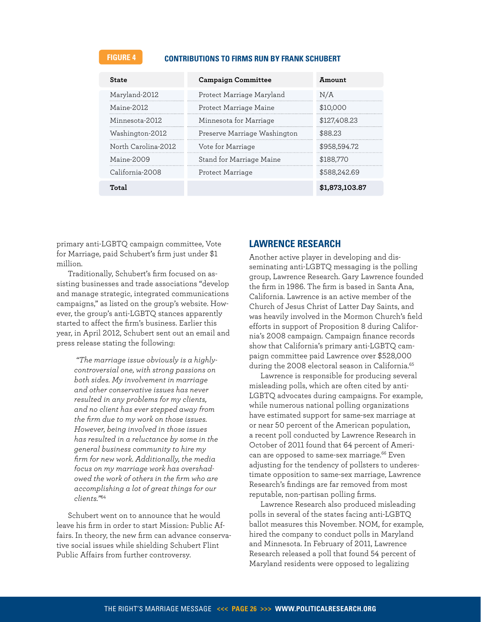# **FIGURE 4 Contributions to Firms run by Frank Schubert**

| State               | <b>Campaign Committee</b>    | Amount         |
|---------------------|------------------------------|----------------|
| Maryland-2012       | Protect Marriage Maryland    | N/A            |
| Maine-2012          | Protect Marriage Maine       | \$10,000       |
| Minnesota-2012      | Minnesota for Marriage       | \$127,408.23   |
| Washington-2012     | Preserve Marriage Washington | \$88.23        |
| North Carolina-2012 | Vote for Marriage            | \$958,594.72   |
| Maine-2009          | Stand for Marriage Maine     | \$188,770      |
| California-2008     | Protect Marriage             | \$588.242.69   |
| Totel               |                              | \$1,873,103.87 |

primary anti-LGBTQ campaign committee, Vote for Marriage, paid Schubert's firm just under \$1 million.

Traditionally, Schubert's firm focused on assisting businesses and trade associations "develop and manage strategic, integrated communications campaigns," as listed on the group's website. However, the group's anti-LGBTQ stances apparently started to affect the firm's business. Earlier this year, in April 2012, Schubert sent out an email and press release stating the following:

> *"The marriage issue obviously is a highlycontroversial one, with strong passions on both sides. My involvement in marriage and other conservative issues has never resulted in any problems for my clients, and no client has ever stepped away from the firm due to my work on those issues. However, being involved in those issues has resulted in a reluctance by some in the general business community to hire my firm for new work. Additionally, the media focus on my marriage work has overshadowed the work of others in the firm who are accomplishing a lot of great things for our clients."*[64](#page-38-3)

Schubert went on to announce that he would leave his firm in order to start Mission: Public Affairs. In theory, the new firm can advance conservative social issues while shielding Schubert Flint Public Affairs from further controversy.

# **Lawrence Research**

Another active player in developing and disseminating anti-LGBTQ messaging is the polling group, Lawrence Research. Gary Lawrence founded the firm in 1986. The firm is based in Santa Ana, California. Lawrence is an active member of the Church of Jesus Christ of Latter Day Saints, and was heavily involved in the Mormon Church's field efforts in support of Proposition 8 during California's 2008 campaign. Campaign finance records show that California's primary anti-LGBTQ campaign committee paid Lawrence over \$528,000 during the 2008 electoral season in California.<sup>[65](#page-38-4)</sup>

Lawrence is responsible for producing several misleading polls, which are often cited by anti-LGBTQ advocates during campaigns. For example, while numerous national polling organizations have estimated support for same-sex marriage at or near 50 percent of the American population, a recent poll conducted by Lawrence Research in October of 2011 found that 64 percent of Ameri-can are opposed to same-sex marriage.<sup>[66](#page-38-5)</sup> Even adjusting for the tendency of pollsters to underestimate opposition to same-sex marriage, Lawrence Research's findings are far removed from most reputable, non-partisan polling firms.

Lawrence Research also produced misleading polls in several of the states facing anti-LGBTQ ballot measures this November. NOM, for example, hired the company to conduct polls in Maryland and Minnesota. In February of 2011, Lawrence Research released a poll that found 54 percent of Maryland residents were opposed to legalizing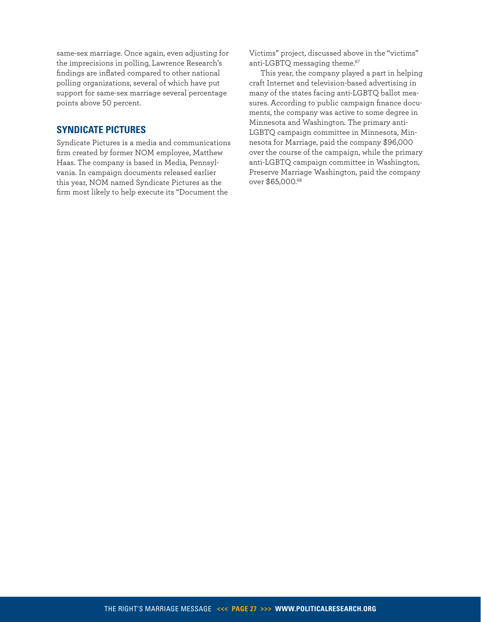same-sex marriage. Once again, even adjusting for the imprecisions in polling, Lawrence Research's findings are inflated compared to other national polling organizations, several of which have put support for same-sex marriage several percentage points above 50 percent.

# **Syndicate Pictures**

Syndicate Pictures is a media and communications firm created by former NOM employee, Matthew Haas. The company is based in Media, Pennsylvania. In campaign documents released earlier this year, NOM named Syndicate Pictures as the firm most likely to help execute its "Document the

Victims" project, discussed above in the "victims" anti-LGBTQ messaging theme.<sup>[67](#page-38-6)</sup>

This year, the company played a part in helping craft Internet and television-based advertising in many of the states facing anti-LGBTQ ballot measures. According to public campaign finance documents, the company was active to some degree in Minnesota and Washington. The primary anti-LGBTQ campaign committee in Minnesota, Minnesota for Marriage, paid the company \$96,000 over the course of the campaign, while the primary anti-LGBTQ campaign committee in Washington, Preserve Marriage Washington, paid the company over \$65,000.[68](#page-38-7)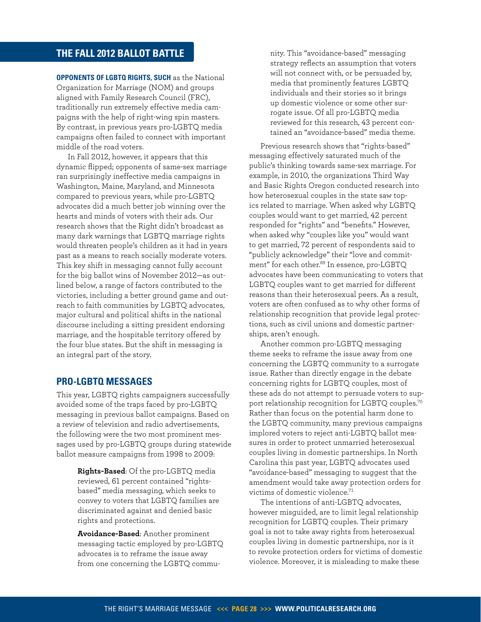# <span id="page-27-0"></span>**THE FALL 2012 BALLOT BATTLE**

**OPPONENTS OF LGBTQ RIGHTS, SUCH** as the National Organization for Marriage (NOM) and groups aligned with Family Research Council (FRC), traditionally run extremely effective media campaigns with the help of right-wing spin masters. By contrast, in previous years pro-LGBTQ media campaigns often failed to connect with important middle of the road voters.

In Fall 2012, however, it appears that this dynamic flipped; opponents of same-sex marriage ran surprisingly ineffective media campaigns in Washington, Maine, Maryland, and Minnesota compared to previous years, while pro-LGBTQ advocates did a much better job winning over the hearts and minds of voters with their ads. Our research shows that the Right didn't broadcast as many dark warnings that LGBTQ marriage rights would threaten people's children as it had in years past as a means to reach socially moderate voters. This key shift in messaging cannot fully account for the big ballot wins of November 2012—as outlined below, a range of factors contributed to the victories, including a better ground game and outreach to faith communities by LGBTQ advocates, major cultural and political shifts in the national discourse including a sitting president endorsing marriage, and the hospitable territory offered by the four blue states. But the shift in messaging is an integral part of the story.

# **Pro-LGBTQ messages**

This year, LGBTQ rights campaigners successfully avoided some of the traps faced by pro-LGBTQ messaging in previous ballot campaigns. Based on a review of television and radio advertisements, the following were the two most prominent messages used by pro-LGBTQ groups during statewide ballot measure campaigns from 1998 to 2009:

> **Rights-Based**: Of the pro-LGBTQ media reviewed, 61 percent contained "rightsbased" media messaging, which seeks to convey to voters that LGBTQ families are discriminated against and denied basic rights and protections.

**Avoidance-Based**: Another prominent messaging tactic employed by pro-LGBTQ advocates is to reframe the issue away from one concerning the LGBTQ commu-

nity. This "avoidance-based" messaging strategy reflects an assumption that voters will not connect with, or be persuaded by, media that prominently features LGBTQ individuals and their stories so it brings up domestic violence or some other surrogate issue. Of all pro-LGBTQ media reviewed for this research, 43 percent contained an "avoidance-based" media theme.

Previous research shows that "rights-based" messaging effectively saturated much of the public's thinking towards same-sex marriage. For example, in 2010, the organizations Third Way and Basic Rights Oregon conducted research into how heterosexual couples in the state saw topics related to marriage. When asked why LGBTQ couples would want to get married, 42 percent responded for "rights" and "benefits." However, when asked why "couples like you" would want to get married, 72 percent of respondents said to "publicly acknowledge" their "love and commitment" for each other.[69](#page-38-8) In essence, pro-LGBTQ advocates have been communicating to voters that LGBTQ couples want to get married for different reasons than their heterosexual peers. As a result, voters are often confused as to why other forms of relationship recognition that provide legal protections, such as civil unions and domestic partnerships, aren't enough.

Another common pro-LGBTQ messaging theme seeks to reframe the issue away from one concerning the LGBTQ community to a surrogate issue. Rather than directly engage in the debate concerning rights for LGBTQ couples, most of these ads do not attempt to persuade voters to support relationship recognition for LGBTQ couples.[70](#page-38-9) Rather than focus on the potential harm done to the LGBTQ community, many previous campaigns implored voters to reject anti-LGBTQ ballot measures in order to protect unmarried heterosexual couples living in domestic partnerships. In North Carolina this past year, LGBTQ advocates used "avoidance-based" messaging to suggest that the amendment would take away protection orders for victims of domestic violence.[71](#page-38-10)

The intentions of anti-LGBTQ advocates, however misguided, are to limit legal relationship recognition for LGBTQ couples. Their primary goal is not to take away rights from heterosexual couples living in domestic partnerships, nor is it to revoke protection orders for victims of domestic violence. Moreover, it is misleading to make these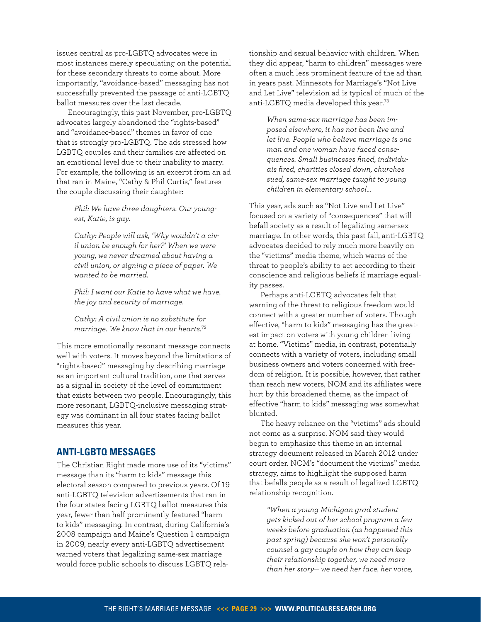issues central as pro-LGBTQ advocates were in most instances merely speculating on the potential for these secondary threats to come about. More importantly, "avoidance-based" messaging has not successfully prevented the passage of anti-LGBTQ ballot measures over the last decade.

Encouragingly, this past November, pro-LGBTQ advocates largely abandoned the "rights-based" and "avoidance-based" themes in favor of one that is strongly pro-LGBTQ. The ads stressed how LGBTQ couples and their families are affected on an emotional level due to their inability to marry. For example, the following is an excerpt from an ad that ran in Maine, "Cathy & Phil Curtis," features the couple discussing their daughter:

*Phil: We have three daughters. Our youngest, Katie, is gay.* 

*Cathy: People will ask, 'Why wouldn't a civil union be enough for her?' When we were young, we never dreamed about having a civil union, or signing a piece of paper. We wanted to be married.* 

*Phil: I want our Katie to have what we have, the joy and security of marriage.*

*Cathy: A civil union is no substitute for marriage. We know that in our hearts.*[72](#page-38-11)

This more emotionally resonant message connects well with voters. It moves beyond the limitations of "rights-based" messaging by describing marriage as an important cultural tradition, one that serves as a signal in society of the level of commitment that exists between two people. Encouragingly, this more resonant, LGBTQ-inclusive messaging strategy was dominant in all four states facing ballot measures this year.

# **Anti-LGBTQ Messages**

The Christian Right made more use of its "victims" message than its "harm to kids" message this electoral season compared to previous years. Of 19 anti-LGBTQ television advertisements that ran in the four states facing LGBTQ ballot measures this year, fewer than half prominently featured "harm to kids" messaging. In contrast, during California's 2008 campaign and Maine's Question 1 campaign in 2009, nearly every anti-LGBTQ advertisement warned voters that legalizing same-sex marriage would force public schools to discuss LGBTQ relationship and sexual behavior with children. When they did appear, "harm to children" messages were often a much less prominent feature of the ad than in years past. Minnesota for Marriage's "Not Live and Let Live" television ad is typical of much of the anti-LGBTQ media developed this year.[73](#page-38-12)

*When same-sex marriage has been imposed elsewhere, it has not been live and let live. People who believe marriage is one man and one woman have faced consequences. Small businesses fined, individuals fired, charities closed down, churches sued, same-sex marriage taught to young children in elementary school…*

This year, ads such as "Not Live and Let Live" focused on a variety of "consequences" that will befall society as a result of legalizing same-sex marriage. In other words, this past fall, anti-LGBTQ advocates decided to rely much more heavily on the "victims" media theme, which warns of the threat to people's ability to act according to their conscience and religious beliefs if marriage equality passes.

Perhaps anti-LGBTQ advocates felt that warning of the threat to religious freedom would connect with a greater number of voters. Though effective, "harm to kids" messaging has the greatest impact on voters with young children living at home. "Victims" media, in contrast, potentially connects with a variety of voters, including small business owners and voters concerned with freedom of religion. It is possible, however, that rather than reach new voters, NOM and its affiliates were hurt by this broadened theme, as the impact of effective "harm to kids" messaging was somewhat blunted.

The heavy reliance on the "victims" ads should not come as a surprise. NOM said they would begin to emphasize this theme in an internal strategy document released in March 2012 under court order. NOM's "document the victims" media strategy, aims to highlight the supposed harm that befalls people as a result of legalized LGBTQ relationship recognition.

> *"When a young Michigan grad student gets kicked out of her school program a few weeks before graduation (as happened this past spring) because she won't personally counsel a gay couple on how they can keep their relationship together, we need more than her story— we need her face, her voice,*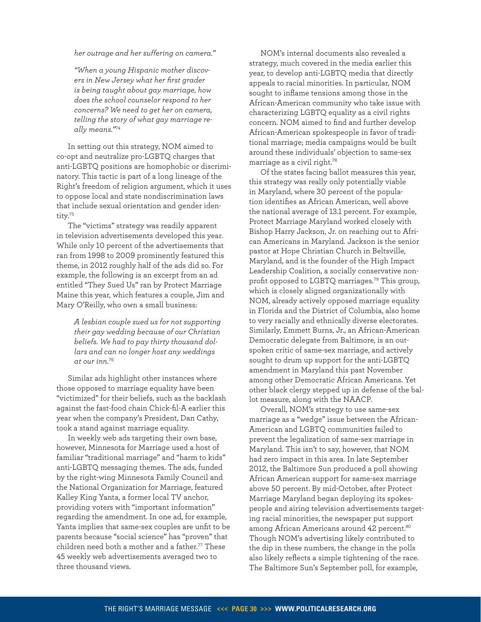*her outrage and her suffering on camera."* 

*"When a young Hispanic mother discovers in New Jersey what her first grader is being taught about gay marriage, how does the school counselor respond to her concerns? We need to get her on camera, telling the story of what gay marriage really means."*[74](#page-38-13)

In setting out this strategy, NOM aimed to co-opt and neutralize pro-LGBTQ charges that anti-LGBTQ positions are homophobic or discriminatory. This tactic is part of a long lineage of the Right's freedom of religion argument, which it uses to oppose local and state nondiscrimination laws that include sexual orientation and gender identity.[75](#page-38-14)

The "victims" strategy was readily apparent in television advertisements developed this year. While only 10 percent of the advertisements that ran from 1998 to 2009 prominently featured this theme, in 2012 roughly half of the ads did so. For example, the following is an excerpt from an ad entitled "They Sued Us" ran by Protect Marriage Maine this year, which features a couple, Jim and Mary O'Reilly, who own a small business:

> *A lesbian couple sued us for not supporting their gay wedding because of our Christian beliefs. We had to pay thirty thousand dollars and can no longer host any weddings at our inn.*[76](#page-38-15)

Similar ads highlight other instances where those opposed to marriage equality have been "victimized" for their beliefs, such as the backlash against the fast-food chain Chick-fil-A earlier this year when the company's President, Dan Cathy, took a stand against marriage equality.

In weekly web ads targeting their own base, however, Minnesota for Marriage used a host of familiar "traditional marriage" and "harm to kids" anti-LGBTQ messaging themes. The ads, funded by the right-wing Minnesota Family Council and the National Organization for Marriage, featured Kalley King Yanta, a former local TV anchor, providing voters with "important information" regarding the amendment. In one ad, for example, Yanta implies that same-sex couples are unfit to be parents because "social science" has "proven" that children need both a mother and a father.<sup>[77](#page-38-16)</sup> These 45 weekly web advertisements averaged two to three thousand views.

NOM's internal documents also revealed a strategy, much covered in the media earlier this year, to develop anti-LGBTQ media that directly appeals to racial minorities. In particular, NOM sought to inflame tensions among those in the African-American community who take issue with characterizing LGBTQ equality as a civil rights concern. NOM aimed to find and further develop African-American spokespeople in favor of traditional marriage; media campaigns would be built around these individuals' objection to same-sex marriage as a civil right.[78](#page-38-17)

Of the states facing ballot measures this year, this strategy was really only potentially viable in Maryland, where 30 percent of the population identifies as African American, well above the national average of 13.1 percent. For example, Protect Marriage Maryland worked closely with Bishop Harry Jackson, Jr. on reaching out to African Americans in Maryland. Jackson is the senior pastor at Hope Christian Church in Beltsville, Maryland, and is the founder of the High Impact Leadership Coalition, a socially conservative nonprofit opposed to LGBTQ marriages.[79](#page-38-18) This group, which is closely aligned organizationally with NOM, already actively opposed marriage equality in Florida and the District of Columbia, also home to very racially and ethnically diverse electorates. Similarly, Emmett Burns, Jr., an African-American Democratic delegate from Baltimore, is an outspoken critic of same-sex marriage, and actively sought to drum up support for the anti-LGBTQ amendment in Maryland this past November among other Democratic African Americans. Yet other black clergy stepped up in defense of the ballot measure, along with the NAACP.

Overall, NOM's strategy to use same-sex marriage as a "wedge" issue between the African-American and LGBTQ communities failed to prevent the legalization of same-sex marriage in Maryland. This isn't to say, however, that NOM had zero impact in this area. In late September 2012, the Baltimore Sun produced a poll showing African American support for same-sex marriage above 50 percent. By mid-October, after Protect Marriage Maryland began deploying its spokespeople and airing television advertisements targeting racial minorities, the newspaper put support among African Americans around 42 percent.<sup>[80](#page-38-19)</sup> Though NOM's advertising likely contributed to the dip in these numbers, the change in the polls also likely reflects a simple tightening of the race. The Baltimore Sun's September poll, for example,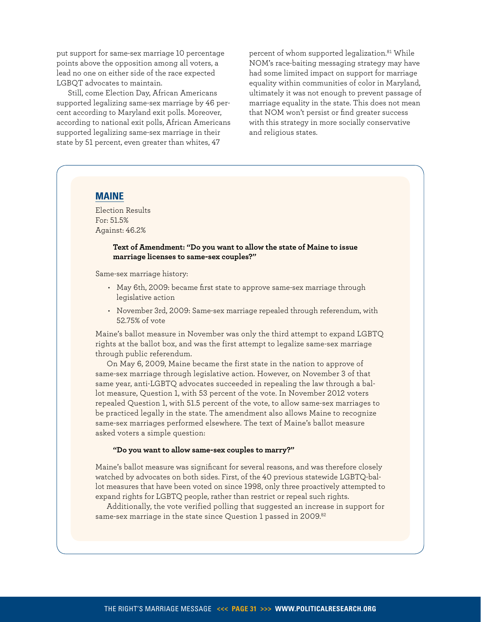put support for same-sex marriage 10 percentage points above the opposition among all voters, a lead no one on either side of the race expected LGBQT advocates to maintain.

Still, come Election Day, African Americans supported legalizing same-sex marriage by 46 percent according to Maryland exit polls. Moreover, according to national exit polls, African Americans supported legalizing same-sex marriage in their state by 51 percent, even greater than whites, 47

percent of whom supported legalization.<sup>[81](#page-38-21)</sup> While NOM's race-baiting messaging strategy may have had some limited impact on support for marriage equality within communities of color in Maryland, ultimately it was not enough to prevent passage of marriage equality in the state. This does not mean that NOM won't persist or find greater success with this strategy in more socially conservative and religious states.

# **Maine**

Election Results For: 51.5% Against: 46.2%

#### **Text of Amendment: "Do you want to allow the state of Maine to issue marriage licenses to same-sex couples?"**

Same-sex marriage history:

- May 6th, 2009: became first state to approve same-sex marriage through legislative action
- November 3rd, 2009: Same-sex marriage repealed through referendum, with 52.75% of vote

Maine's ballot measure in November was only the third attempt to expand LGBTQ rights at the ballot box, and was the first attempt to legalize same-sex marriage through public referendum.

On May 6, 2009, Maine became the first state in the nation to approve of same-sex marriage through legislative action. However, on November 3 of that same year, anti-LGBTQ advocates succeeded in repealing the law through a ballot measure, Question 1, with 53 percent of the vote. In November 2012 voters repealed Question 1, with 51.5 percent of the vote, to allow same-sex marriages to be practiced legally in the state. The amendment also allows Maine to recognize same-sex marriages performed elsewhere. The text of Maine's ballot measure asked voters a simple question:

#### **"Do you want to allow same-sex couples to marry?"**

Maine's ballot measure was significant for several reasons, and was therefore closely watched by advocates on both sides. First, of the 40 previous statewide LGBTQ-ballot measures that have been voted on since 1998, only three proactively attempted to expand rights for LGBTQ people, rather than restrict or repeal such rights.

Additionally, the vote verified polling that suggested an increase in support for same-sex marriage in the state since Question 1 passed in 2009.<sup>[82](#page-38-20)</sup>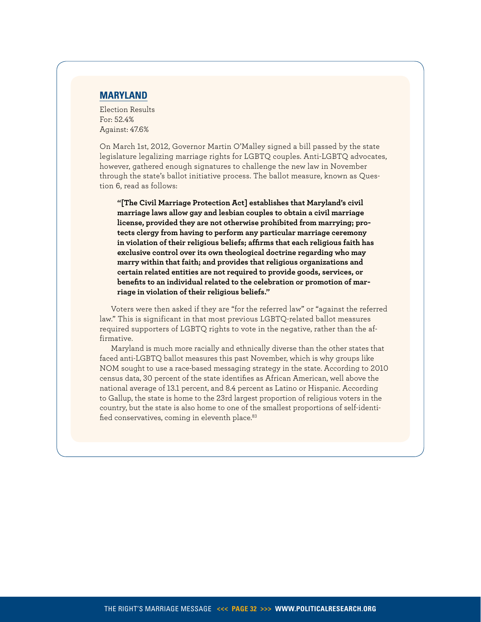# **MARYLAND**

Election Results For: 52.4% Against: 47.6%

On March 1st, 2012, Governor Martin O'Malley signed a bill passed by the state legislature legalizing marriage rights for LGBTQ couples. Anti-LGBTQ advocates, however, gathered enough signatures to challenge the new law in November through the state's ballot initiative process. The ballot measure, known as Question 6, read as follows:

**"[The Civil Marriage Protection Act] establishes that Maryland's civil marriage laws allow gay and lesbian couples to obtain a civil marriage license, provided they are not otherwise prohibited from marrying; protects clergy from having to perform any particular marriage ceremony in violation of their religious beliefs; affirms that each religious faith has exclusive control over its own theological doctrine regarding who may marry within that faith; and provides that religious organizations and certain related entities are not required to provide goods, services, or benefits to an individual related to the celebration or promotion of marriage in violation of their religious beliefs."**

Voters were then asked if they are "for the referred law" or "against the referred law." This is significant in that most previous LGBTQ-related ballot measures required supporters of LGBTQ rights to vote in the negative, rather than the affirmative.

Maryland is much more racially and ethnically diverse than the other states that faced anti-LGBTQ ballot measures this past November, which is why groups like NOM sought to use a race-based messaging strategy in the state. According to 2010 census data, 30 percent of the state identifies as African American, well above the national average of 13.1 percent, and 8.4 percent as Latino or Hispanic. According to Gallup, the state is home to the 23rd largest proportion of religious voters in the country, but the state is also home to one of the smallest proportions of self-identi-fied conservatives, coming in eleventh place.<sup>[83](#page-38-22)</sup>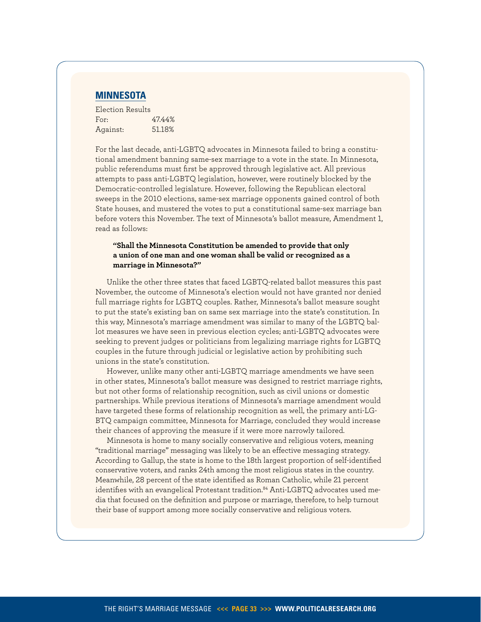

| Election Results |        |
|------------------|--------|
| For:             | 47.44% |
| Against:         | 51.18% |

For the last decade, anti-LGBTQ advocates in Minnesota failed to bring a constitutional amendment banning same-sex marriage to a vote in the state. In Minnesota, public referendums must first be approved through legislative act. All previous attempts to pass anti-LGBTQ legislation, however, were routinely blocked by the Democratic-controlled legislature. However, following the Republican electoral sweeps in the 2010 elections, same-sex marriage opponents gained control of both State houses, and mustered the votes to put a constitutional same-sex marriage ban before voters this November. The text of Minnesota's ballot measure, Amendment 1, read as follows:

#### **"Shall the Minnesota Constitution be amended to provide that only a union of one man and one woman shall be valid or recognized as a marriage in Minnesota?"**

Unlike the other three states that faced LGBTQ-related ballot measures this past November, the outcome of Minnesota's election would not have granted nor denied full marriage rights for LGBTQ couples. Rather, Minnesota's ballot measure sought to put the state's existing ban on same sex marriage into the state's constitution. In this way, Minnesota's marriage amendment was similar to many of the LGBTQ ballot measures we have seen in previous election cycles; anti-LGBTQ advocates were seeking to prevent judges or politicians from legalizing marriage rights for LGBTQ couples in the future through judicial or legislative action by prohibiting such unions in the state's constitution.

However, unlike many other anti-LGBTQ marriage amendments we have seen in other states, Minnesota's ballot measure was designed to restrict marriage rights, but not other forms of relationship recognition, such as civil unions or domestic partnerships. While previous iterations of Minnesota's marriage amendment would have targeted these forms of relationship recognition as well, the primary anti-LG-BTQ campaign committee, Minnesota for Marriage, concluded they would increase their chances of approving the measure if it were more narrowly tailored.

Minnesota is home to many socially conservative and religious voters, meaning "traditional marriage" messaging was likely to be an effective messaging strategy. According to Gallup, the state is home to the 18th largest proportion of self-identified conservative voters, and ranks 24th among the most religious states in the country. Meanwhile, 28 percent of the state identified as Roman Catholic, while 21 percent identifies with an evangelical Protestant tradition.<sup>[84](#page-38-23)</sup> Anti-LGBTQ advocates used media that focused on the definition and purpose or marriage, therefore, to help turnout their base of support among more socially conservative and religious voters.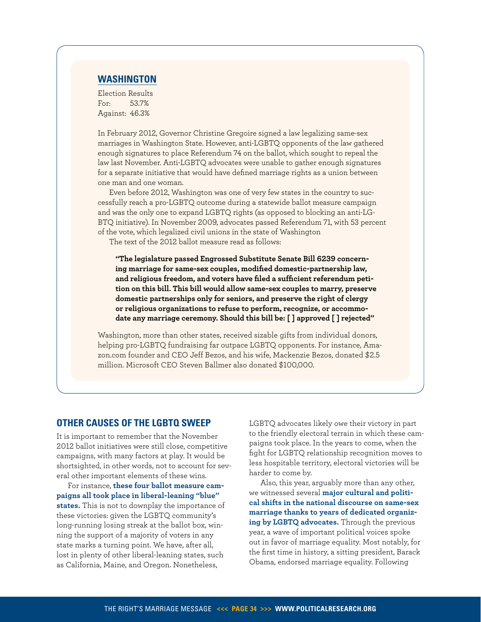# **Washington**

Election Results For: 53.7% Against: 46.3%

In February 2012, Governor Christine Gregoire signed a law legalizing same-sex marriages in Washington State. However, anti-LGBTQ opponents of the law gathered enough signatures to place Referendum 74 on the ballot, which sought to repeal the law last November. Anti-LGBTQ advocates were unable to gather enough signatures for a separate initiative that would have defined marriage rights as a union between one man and one woman.

Even before 2012, Washington was one of very few states in the country to successfully reach a pro-LGBTQ outcome during a statewide ballot measure campaign and was the only one to expand LGBTQ rights (as opposed to blocking an anti-LG-BTQ initiative). In November 2009, advocates passed Referendum 71, with 53 percent of the vote, which legalized civil unions in the state of Washington

The text of the 2012 ballot measure read as follows:

**"The legislature passed Engrossed Substitute Senate Bill 6239 concerning marriage for same-sex couples, modified domestic-partnership law, and religious freedom, and voters have filed a sufficient referendum petition on this bill. This bill would allow same-sex couples to marry, preserve domestic partnerships only for seniors, and preserve the right of clergy or religious organizations to refuse to perform, recognize, or accommodate any marriage ceremony. Should this bill be: [ ] approved [ ] rejected"**

Washington, more than other states, received sizable gifts from individual donors, helping pro-LGBTQ fundraising far outpace LGBTQ opponents. For instance, Amazon.com founder and CEO Jeff Bezos, and his wife, Mackenzie Bezos, donated \$2.5 million. Microsoft CEO Steven Ballmer also donated \$100,000.

# **Other Causes of the LGBTQ Sweep**

It is important to remember that the November 2012 ballot initiatives were still close, competitive campaigns, with many factors at play. It would be shortsighted, in other words, not to account for several other important elements of these wins.

For instance, **these four ballot measure campaigns all took place in liberal-leaning "blue" states.** This is not to downplay the importance of these victories: given the LGBTQ community's long-running losing streak at the ballot box, winning the support of a majority of voters in any state marks a turning point. We have, after all, lost in plenty of other liberal-leaning states, such as California, Maine, and Oregon. Nonetheless,

LGBTQ advocates likely owe their victory in part to the friendly electoral terrain in which these campaigns took place. In the years to come, when the fight for LGBTQ relationship recognition moves to less hospitable territory, electoral victories will be harder to come by.

Also, this year, arguably more than any other, we witnessed several **major cultural and political shifts in the national discourse on same-sex marriage thanks to years of dedicated organizing by LGBTQ advocates.** Through the previous year, a wave of important political voices spoke out in favor of marriage equality. Most notably, for the first time in history, a sitting president, Barack Obama, endorsed marriage equality. Following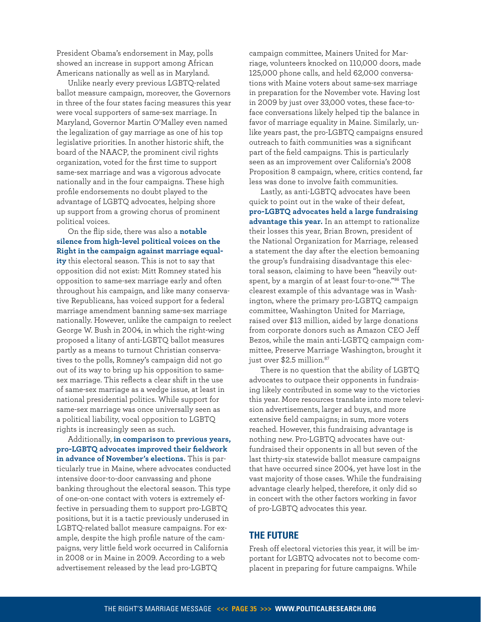President Obama's endorsement in May, polls showed an increase in support among African Americans nationally as well as in Maryland.

Unlike nearly every previous LGBTQ-related ballot measure campaign, moreover, the Governors in three of the four states facing measures this year were vocal supporters of same-sex marriage. In Maryland, Governor Martin O'Malley even named the legalization of gay marriage as one of his top legislative priorities. In another historic shift, the board of the NAACP, the prominent civil rights organization, voted for the first time to support same-sex marriage and was a vigorous advocate nationally and in the four campaigns. These high profile endorsements no doubt played to the advantage of LGBTQ advocates, helping shore up support from a growing chorus of prominent political voices.

On the flip side, there was also a **notable silence from high-level political voices on the Right in the campaign against marriage equality** this electoral season. This is not to say that opposition did not exist: Mitt Romney stated his opposition to same-sex marriage early and often throughout his campaign, and like many conservative Republicans, has voiced support for a federal marriage amendment banning same-sex marriage nationally. However, unlike the campaign to reelect George W. Bush in 2004, in which the right-wing proposed a litany of anti-LGBTQ ballot measures partly as a means to turnout Christian conservatives to the polls, Romney's campaign did not go out of its way to bring up his opposition to samesex marriage. This reflects a clear shift in the use of same-sex marriage as a wedge issue, at least in national presidential politics. While support for same-sex marriage was once universally seen as a political liability, vocal opposition to LGBTQ rights is increasingly seen as such.

Additionally, **in comparison to previous years, pro-LGBTQ advocates improved their fieldwork in advance of November's elections.** This is particularly true in Maine, where advocates conducted intensive door-to-door canvassing and phone banking throughout the electoral season. This type of one-on-one contact with voters is extremely effective in persuading them to support pro-LGBTQ positions, but it is a tactic previously underused in LGBTQ-related ballot measure campaigns. For example, despite the high profile nature of the campaigns, very little field work occurred in California in 2008 or in Maine in 2009. According to a web advertisement released by the lead pro-LGBTQ

campaign committee, Mainers United for Marriage, volunteers knocked on 110,000 doors, made 125,000 phone calls, and held 62,000 conversations with Maine voters about same-sex marriage in preparation for the November vote. Having lost in 2009 by just over 33,000 votes, these face-toface conversations likely helped tip the balance in favor of marriage equality in Maine. Similarly, unlike years past, the pro-LGBTQ campaigns ensured outreach to faith communities was a significant part of the field campaigns. This is particularly seen as an improvement over California's 2008 Proposition 8 campaign, where, critics contend, far less was done to involve faith communities.

Lastly, as anti-LGBTQ advocates have been quick to point out in the wake of their defeat, **pro-LGBTQ advocates held a large fundraising advantage this year.** In an attempt to rationalize their losses this year, Brian Brown, president of the National Organization for Marriage, released a statement the day after the election bemoaning the group's fundraising disadvantage this electoral season, claiming to have been "heavily outspent, by a margin of at least four-to-one."[86](#page-38-24) The clearest example of this advantage was in Washington, where the primary pro-LGBTQ campaign committee, Washington United for Marriage, raised over \$13 million, aided by large donations from corporate donors such as Amazon CEO Jeff Bezos, while the main anti-LGBTQ campaign committee, Preserve Marriage Washington, brought it just over \$2.5 million.<sup>[87](#page-38-25)</sup>

There is no question that the ability of LGBTQ advocates to outpace their opponents in fundraising likely contributed in some way to the victories this year. More resources translate into more television advertisements, larger ad buys, and more extensive field campaigns; in sum, more voters reached. However, this fundraising advantage is nothing new. Pro-LGBTQ advocates have outfundraised their opponents in all but seven of the last thirty-six statewide ballot measure campaigns that have occurred since 2004, yet have lost in the vast majority of those cases. While the fundraising advantage clearly helped, therefore, it only did so in concert with the other factors working in favor of pro-LGBTQ advocates this year.

# **The Future**

Fresh off electoral victories this year, it will be important for LGBTQ advocates not to become complacent in preparing for future campaigns. While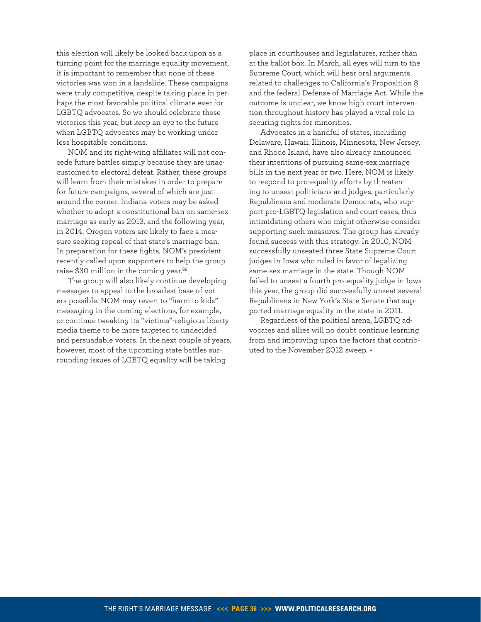this election will likely be looked back upon as a turning point for the marriage equality movement, it is important to remember that none of these victories was won in a landslide. These campaigns were truly competitive, despite taking place in perhaps the most favorable political climate ever for LGBTQ advocates. So we should celebrate these victories this year, but keep an eye to the future when LGBTQ advocates may be working under less hospitable conditions.

NOM and its right-wing affiliates will not concede future battles simply because they are unaccustomed to electoral defeat. Rather, these groups will learn from their mistakes in order to prepare for future campaigns, several of which are just around the corner. Indiana voters may be asked whether to adopt a constitutional ban on same-sex marriage as early as 2013, and the following year, in 2014, Oregon voters are likely to face a measure seeking repeal of that state's marriage ban. In preparation for these fights, NOM's president recently called upon supporters to help the group raise \$30 million in the coming year.<sup>[88](#page-38-26)</sup>

The group will also likely continue developing messages to appeal to the broadest base of voters possible. NOM may revert to "harm to kids" messaging in the coming elections, for example, or continue tweaking its "victims"-religious liberty media theme to be more targeted to undecided and persuadable voters. In the next couple of years, however, most of the upcoming state battles surrounding issues of LGBTQ equality will be taking

place in courthouses and legislatures, rather than at the ballot box. In March, all eyes will turn to the Supreme Court, which will hear oral arguments related to challenges to California's Proposition 8 and the federal Defense of Marriage Act. While the outcome is unclear, we know high court intervention throughout history has played a vital role in securing rights for minorities.

Advocates in a handful of states, including Delaware, Hawaii, Illinois, Minnesota, New Jersey, and Rhode Island, have also already announced their intentions of pursuing same-sex marriage bills in the next year or two. Here, NOM is likely to respond to pro-equality efforts by threatening to unseat politicians and judges, particularly Republicans and moderate Democrats, who support pro-LGBTQ legislation and court cases, thus intimidating others who might otherwise consider supporting such measures. The group has already found success with this strategy. In 2010, NOM successfully unseated three State Supreme Court judges in Iowa who ruled in favor of legalizing same-sex marriage in the state. Though NOM failed to unseat a fourth pro-equality judge in Iowa this year, the group did successfully unseat several Republicans in New York's State Senate that supported marriage equality in the state in 2011.

Regardless of the political arena, LGBTQ advocates and allies will no doubt continue learning from and improving upon the factors that contributed to the November 2012 sweep. •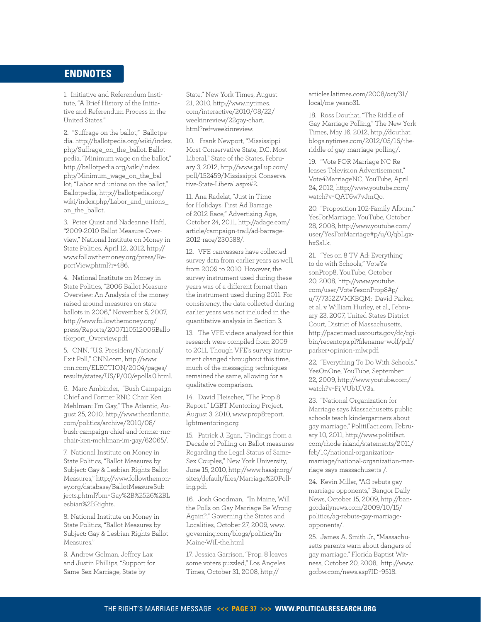# <span id="page-36-0"></span>**ENDNOTES**

<span id="page-36-1"></span>1. Initiative and Referendum Institute, ["A Brief History of the Initia](http://www.iandrinstitute.org/New%20IRI%20Website%20Info/Drop%20Down%20Boxes/Quick%20Facts/History%20of%20I&R.pdf .)[tive and Referendum Process in the](http://www.iandrinstitute.org/New%20IRI%20Website%20Info/Drop%20Down%20Boxes/Quick%20Facts/History%20of%20I&R.pdf .)  [United States."](http://www.iandrinstitute.org/New%20IRI%20Website%20Info/Drop%20Down%20Boxes/Quick%20Facts/History%20of%20I&R.pdf .) 

<span id="page-36-2"></span>2. "Suffrage on the ballot," Ballotpedia. [http://ballotpedia.org/wiki/index.](http://ballotpedia.org/wiki/index.php/Suffrage_on_the_ballot) [php/Suffrage\\_on\\_the\\_ballot.](http://ballotpedia.org/wiki/index.php/Suffrage_on_the_ballot) Ballotpedia, "Minimum wage on the ballot," [http://ballotpedia.org/wiki/index.](http://ballotpedia.org/wiki/index.php/Minimum_wage_on_the_ballot) [php/Minimum\\_wage\\_on\\_the\\_bal](http://ballotpedia.org/wiki/index.php/Minimum_wage_on_the_ballot)[lot;](http://ballotpedia.org/wiki/index.php/Minimum_wage_on_the_ballot) "Labor and unions on the ballot," Ballotpedia, [http://ballotpedia.org/](http://ballotpedia.org/wiki/index.php/Labor_and_unions_on_the_ballot) [wiki/index.php/Labor\\_and\\_unions\\_](http://ballotpedia.org/wiki/index.php/Labor_and_unions_on_the_ballot) on the ballot.

<span id="page-36-3"></span>3. Peter Quist and Nadeanne Haftl, "2009-2010 Ballot Measure Overview," National Institute on Money in State Politics, April 12, 2012, [http://](http://www.followthemoney.org/press/ReportView.phtml?r=486.) [www.followthemoney.org/press/Re](http://www.followthemoney.org/press/ReportView.phtml?r=486.)[portView.phtml?r=486.](http://www.followthemoney.org/press/ReportView.phtml?r=486.)

<span id="page-36-4"></span>4. National Institute on Money in State Politics, "2006 Ballot Measure Overview: An Analysis of the money raised around measures on state ballots in 2006," November 5, 2007, [http://www.followthemoney.org/](http://www.followthemoney.org/press/Reports/2007110512006BallotReport_Overview.pdf) [press/Reports/2007110512006Ballo](http://www.followthemoney.org/press/Reports/2007110512006BallotReport_Overview.pdf) [tReport\\_Overview.pdf.](http://www.followthemoney.org/press/Reports/2007110512006BallotReport_Overview.pdf)

<span id="page-36-5"></span>5. CNN, "U.S. President/National/ Exit Poll," <CNN.com>, [http://www.](http://www.cnn.com/ELECTION/2004/pages/results/states/US/P/00/epolls.0.html) [cnn.com/ELECTION/2004/pages/](http://www.cnn.com/ELECTION/2004/pages/results/states/US/P/00/epolls.0.html) [results/states/US/P/00/epolls.0.html](http://www.cnn.com/ELECTION/2004/pages/results/states/US/P/00/epolls.0.html).

<span id="page-36-6"></span>6. Marc Ambinder, "Bush Campaign Chief and Former RNC Chair Ken Mehlman: I'm Gay," The Atlantic, August 25, 2010, [http://www.theatlantic.](http://www.theatlantic.com/politics/archive/2010/08/bush-campaign-chief-and-former-rnc-chair-ken-mehlman-im-gay/62065) [com/politics/archive/2010/08/](http://www.theatlantic.com/politics/archive/2010/08/bush-campaign-chief-and-former-rnc-chair-ken-mehlman-im-gay/62065) [bush-campaign-chief-and-former-rnc](http://www.theatlantic.com/politics/archive/2010/08/bush-campaign-chief-and-former-rnc-chair-ken-mehlman-im-gay/62065)[chair-ken-mehlman-im-gay/62065/](http://www.theatlantic.com/politics/archive/2010/08/bush-campaign-chief-and-former-rnc-chair-ken-mehlman-im-gay/62065).

<span id="page-36-7"></span>7. National Institute on Money in State Politics, "Ballot Measures by Subject: Gay & Lesbian Rights Ballot Measures," [http://www.followthemon](http://www.followthemoney.org/database/BallotMeasureSubjects.phtml?bm=Gay%2B%2526%2BLesbian%2BRights.)[ey.org/database/BallotMeasureSub](http://www.followthemoney.org/database/BallotMeasureSubjects.phtml?bm=Gay%2B%2526%2BLesbian%2BRights.)[jects.phtml?bm=Gay%2B%2526%2BL](http://www.followthemoney.org/database/BallotMeasureSubjects.phtml?bm=Gay%2B%2526%2BLesbian%2BRights.) [esbian%2BRights.](http://www.followthemoney.org/database/BallotMeasureSubjects.phtml?bm=Gay%2B%2526%2BLesbian%2BRights.)

<span id="page-36-8"></span>8. National Institute on Money in State Politics, "Ballot Measures by Subject: Gay & Lesbian Rights Ballot Measures."

<span id="page-36-9"></span>9. Andrew Gelman, Jeffrey Lax and Justin Phillips, "Support for Same-Sex Marriage, State by

State," New York Times, August 21, 2010, [http://www.nytimes.](http://www.nytimes.com/interactive/2010/08/22/weekinreview/22gay-chart.html?ref=weekinreview.) [com/interactive/2010/08/22/](http://www.nytimes.com/interactive/2010/08/22/weekinreview/22gay-chart.html?ref=weekinreview.) [weekinreview/22gay-chart.](http://www.nytimes.com/interactive/2010/08/22/weekinreview/22gay-chart.html?ref=weekinreview.) [html?ref=weekinreview.](http://www.nytimes.com/interactive/2010/08/22/weekinreview/22gay-chart.html?ref=weekinreview.) 

<span id="page-36-10"></span>10. Frank Newport, "Mississippi Most Conservative State, D.C. Most Liberal," State of the States, February 3, 2012, [http://www.gallup.com/](http://www.gallup.com/poll/152459/Mississippi-Conservative-State-Liberal.aspx) [poll/152459/Mississippi-Conserva](http://www.gallup.com/poll/152459/Mississippi-Conservative-State-Liberal.aspx)[tive-State-Liberal.aspx#](http://www.gallup.com/poll/152459/Mississippi-Conservative-State-Liberal.aspx)2.

<span id="page-36-11"></span>11. Ana Radelat, "Just in Time for Holidays: First Ad Barrage of 2012 Race," Advertising Age, October 24, 2011, [http://adage.com/](http://adage.com/article/campaign-trail/ad-barrage-2012-race/230588) [article/campaign-trail/ad-barrage-](http://adage.com/article/campaign-trail/ad-barrage-2012-race/230588)[2012-race/230588/](http://adage.com/article/campaign-trail/ad-barrage-2012-race/230588).

<span id="page-36-12"></span>12. VFE canvassers have collected survey data from earlier years as well, from 2009 to 2010. However, the survey instrument used during these years was of a different format than the instrument used during 2011. For consistency, the data collected during earlier years was not included in the quantitative analysis in Section 3.

<span id="page-36-13"></span>13. The VFE videos analyzed for this research were compiled from 2009 to 2011. Though VFE's survey instrument changed throughout this time, much of the messaging techniques remained the same, allowing for a qualitative comparison.

<span id="page-36-14"></span>14. David Fleischer, "The Prop 8 Report," LGBT Mentoring Project, August 3, 2010, [www.prop8report.](www.prop8report.lgbtmentoring.org) [lgbtmentoring.org.](www.prop8report.lgbtmentoring.org)

<span id="page-36-15"></span>15. Patrick J. Egan, "Findings from a Decade of Polling on Ballot measures Regarding the Legal Status of Same-Sex Couples," New York University, June 15, 2010, [http://www.haasjr.org/](http://www.haasjr.org/sites/default/files/Marriage) [sites/default/files/Marriage](http://www.haasjr.org/sites/default/files/Marriage)[%20Poll](20Polling.pdf)[ing.pdf](20Polling.pdf).

<span id="page-36-16"></span>16. Josh Goodman, "In Maine, Will the Polls on Gay Marriage Be Wrong Again?," Governing the States and Localities, October 27, 2009, [www.](www.governing.com/blogs/politics/In) [governing.com/blogs/politics/In](www.governing.com/blogs/politics/In)[-](-Maine-Will-the.html)[Maine-Will-the.html](-Maine-Will-the.html)

<span id="page-36-17"></span>17. Jessica Garrison, "Prop. 8 leaves some voters puzzled," Los Angeles Times, October 31, 2008, [http://](http://articles.latimes.com/2008/oct/31/local/me)

[articles.latimes.com/2008/oct/31/](http://articles.latimes.com/2008/oct/31/local/me) [local/me](http://articles.latimes.com/2008/oct/31/local/me)-yesno31.

<span id="page-36-18"></span>18. Ross Douthat, "The Riddle of Gay Marriage Polling," The New York Times, May 16, 2012, [http://douthat.](http://douthat.blogs.nytimes.com/2012/05/16/the) [blogs.nytimes.com/2012/05/16/the](http://douthat.blogs.nytimes.com/2012/05/16/the)riddle-of-gay-marriage-polling/.

<span id="page-36-19"></span>19. "Vote FOR Marriage NC Releases Television Advertisement," Vote4MarriageNC, YouTube, April 24, 2012, [http://www.youtube.com/](http://www.youtube.com/watch?v=QAT6w7vJmQo.) [watch?v=QAT6w7vJmQo.](http://www.youtube.com/watch?v=QAT6w7vJmQo.) 

<span id="page-36-20"></span>20. "Proposition 102-Family Album," YesForMarriage, YouTube, October 28, 2008, [http://www.youtube.com/](http://www.youtube.com/user/YesForMarriage) [user/YesForMarriage](http://www.youtube.com/user/YesForMarriage)#p/u/0/qbLgxhxSsLk.

<span id="page-36-21"></span>21. "Yes on 8 TV Ad: Everything to do with Schools," VoteYesonProp8, YouTube, October 20, 2008, [http://www.youtube.](http://www.youtube.com/user/VoteYesonProp8) [com/user/VoteYesonProp8#](http://www.youtube.com/user/VoteYesonProp8)p/ u/7/7352ZVMKBQM; David Parker, et al. v William Hurley, et al., February 23, 2007, United States District Court, District of Massachusetts, [http://pacer.mad.uscourts.gov/dc/cgi](http://pacer.mad.uscourts.gov/dc/cgi-bin/recentops.pl?filename=wolf)[bin/recentops.pl?filename=wolf/](http://pacer.mad.uscourts.gov/dc/cgi-bin/recentops.pl?filename=wolf)pdf/ parker+opinion[+mlw.pdf](mlw.pdf).

<span id="page-36-22"></span>22. "Everything To Do With Schools," YesOnOne, YouTube, September 22, 2009, [http://www.youtube.com/](http://www.youtube.com/watch?v=FijVUbUlV3s.) [watch?v=FijVUbUlV3s.](http://www.youtube.com/watch?v=FijVUbUlV3s.) 

<span id="page-36-23"></span>23. "National Organization for Marriage says Massachusetts public schools teach kindergartners about gay marriage," <PolitiFact.com>, February 10, 2011, [http://www.politifact.](http://www.politifact.com/rhode-island/statements/2011/feb/10/national-organization-marriage/national) [com/rhode-island/statements/2011/](http://www.politifact.com/rhode-island/statements/2011/feb/10/national-organization-marriage/national) [feb/10/national-organization](http://www.politifact.com/rhode-island/statements/2011/feb/10/national-organization-marriage/national)[marriage/national-](http://www.politifact.com/rhode-island/statements/2011/feb/10/national-organization-marriage/national)organization-marriage-says-massachusetts-/.

<span id="page-36-24"></span>24. Kevin Miller, "AG rebuts gay marriage opponents," Bangor Daily News, October 15, 2009, [http://ban](http://bangordailynews.com/2009/10/15/politics/ag)[gordailynews.com/2009/10/15/](http://bangordailynews.com/2009/10/15/politics/ag) [politics/ag](http://bangordailynews.com/2009/10/15/politics/ag)-rebuts-gay-marriageopponents/.

<span id="page-36-25"></span>25. James A. Smith Jr., "Massachusetts parents warn about dangers of gay marriage," Florida Baptist Witness, October 20, 2008, [http://www.](http://www.gofbw.com/news.asp?ID=9518.) [gofbw.com/news.asp?ID=9518.](http://www.gofbw.com/news.asp?ID=9518.)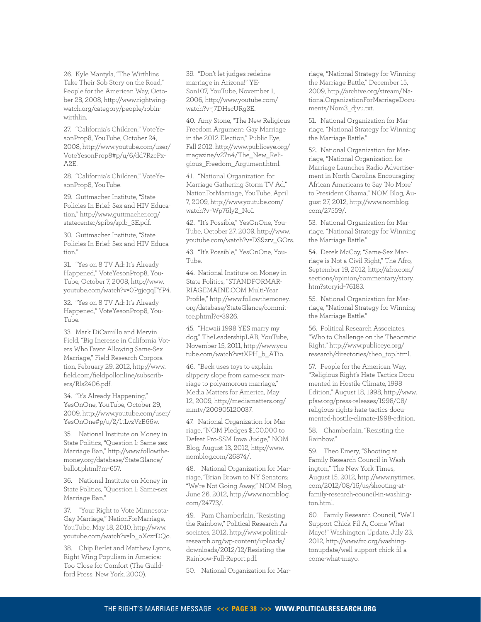<span id="page-37-0"></span>26. Kyle Mantyla, "The Wirthlins Take Their Sob Story on the Road," People for the American Way, October 28, 2008, [http://www.rightwing](http://www.rightwingwatch.org/category/people/robin)[watch.org/category/people/robin](http://www.rightwingwatch.org/category/people/robin)wirthlin.

<span id="page-37-1"></span>27. "California's Children," VoteYesonProp8, YouTube, October 24, 2008, [http://www.youtube.com/user/](http://www.youtube.com/user/VoteYesonProp8) [VoteYesonProp8#](http://www.youtube.com/user/VoteYesonProp8)p/u/6/dd7RzcPx-A2E.

<span id="page-37-2"></span>28. "California's Children," VoteYesonProp8, YouTube.

<span id="page-37-3"></span>29. Guttmacher Institute, "State Policies In Brief: Sex and HIV Education," [http://www.guttmacher.org/](http://www.guttmacher.org/statecenter/spibs/spib_SE.pdf) [statecenter/spibs/spib\\_SE.pdf.](http://www.guttmacher.org/statecenter/spibs/spib_SE.pdf)

<span id="page-37-4"></span>30. Guttmacher Institute, "State Policies In Brief: Sex and HIV Education."

<span id="page-37-5"></span>31. "Yes on 8 TV Ad: It's Already Happened," VoteYesonProp8, You-Tube, October 7, 2008, [http://www.](http://www.youtube.com/watch?v=0PgjcgqFYP4.) [youtube.com/watch?v=0PgjcgqFYP4.](http://www.youtube.com/watch?v=0PgjcgqFYP4.) 

<span id="page-37-6"></span>32. "Yes on 8 TV Ad: It's Already Happened," VoteYesonProp8, You-Tube.

<span id="page-37-7"></span>33. Mark DiCamillo and Mervin Field, "Big Increase in California Voters Who Favor Allowing Same-Sex Marriage," Field Research Corporation, February 29, 2012, [http://www.](http://www.field.com/fieldpollonline/subscribers/Rls2406.pdf) [field.com/fieldpollonline/subscrib](http://www.field.com/fieldpollonline/subscribers/Rls2406.pdf)[ers/Rls2406.pdf.](http://www.field.com/fieldpollonline/subscribers/Rls2406.pdf)

<span id="page-37-8"></span>34. "It's Already Happening," YesOnOne, YouTube, October 29, 2009, [http://www.youtube.com/user/](http://www.youtube.com/user/YesOnOne) [YesOnOne#](http://www.youtube.com/user/YesOnOne)p/u/2/1tLvzVzB66w.

35. National Institute on Money in State Politics, "Question 1: Same-sex Marriage Ban," [http://www.followthe](http://www.followthemoney.org/database/StateGlance/ballot.phtml?m=657.)[money.org/database/StateGlance/](http://www.followthemoney.org/database/StateGlance/ballot.phtml?m=657.) [ballot.phtml?m=657.](http://www.followthemoney.org/database/StateGlance/ballot.phtml?m=657.)

<span id="page-37-10"></span>36. National Institute on Money in State Politics, "Question 1: Same-sex Marriage Ban."

<span id="page-37-9"></span>37. "Your Right to Vote Minnesota-Gay Marriage," NationForMarriage, YouTube, May 18, 2010, [http://www.](http://www.youtube.com/watch?v=lb_oXczrDQo.) [youtube.com/watch?v=lb\\_oXczrDQo.](http://www.youtube.com/watch?v=lb_oXczrDQo.)

<span id="page-37-11"></span>38. Chip Berlet and Matthew Lyons, Right Wing Populism in America: Too Close for Comfort (The Guildford Press: New York, 2000).

<span id="page-37-12"></span>39. "Don't let judges redefine marriage in Arizona!" YE-Son107, YouTube, November 1, 2006, [http://www.youtube.com/](http://www.youtube.com/watch?v=j7DHscURg3E.) [watch?v=j7DHscURg3E.](http://www.youtube.com/watch?v=j7DHscURg3E.)

<span id="page-37-13"></span>40. Amy Stone, "The New Religious Freedom Argument: Gay Marriage in the 2012 Election," Public Eye, Fall 2012. [http://www.publiceye.org/](http://www.publiceye.org/magazine/v27n4/The_New_Religious_Freedom_Argument.html) [magazine/v27n4/The\\_New\\_Reli](http://www.publiceye.org/magazine/v27n4/The_New_Religious_Freedom_Argument.html)[gious\\_Freedom\\_Argument.html.](http://www.publiceye.org/magazine/v27n4/The_New_Religious_Freedom_Argument.html)

<span id="page-37-14"></span>41. "National Organization for Marriage Gathering Storm TV Ad," NationForMarriage, YouTube, April 7, 2009, [http://www.youtube.com/](http://www.youtube.com/watch?v=Wp76ly2_NoI.) [watch?v=Wp76ly2\\_NoI.](http://www.youtube.com/watch?v=Wp76ly2_NoI.) 

<span id="page-37-15"></span>42. "It's Possible," YesOnOne, You-Tube, October 27, 2009, [http://www.](http://www.youtube.com/watch?v=DS9zrv_GOrs.) [youtube.com/watch?v=DS9zrv\\_GOrs.](http://www.youtube.com/watch?v=DS9zrv_GOrs.) 

<span id="page-37-16"></span>43. "It's Possible," YesOnOne, You-Tube.

<span id="page-37-19"></span>44. National Institute on Money in State Politics, ["STANDFORMAR-](STANDFORMARRIAGEMAINE.COM)[RIAGEMAINE.COM](STANDFORMARRIAGEMAINE.COM) Multi-Year Profile," [http://www.followthemoney.](http://www.followthemoney.org/database/StateGlance/committee.phtml?c=3926.) [org/database/StateGlance/commit](http://www.followthemoney.org/database/StateGlance/committee.phtml?c=3926.)[tee.phtml?c=3926.](http://www.followthemoney.org/database/StateGlance/committee.phtml?c=3926.)

<span id="page-37-17"></span>45. "Hawaii 1998 YES marry my dog," TheLeadershipLAB, YouTube, November 15, 2011, [http://www.you](http://www.youtube.com/watch?v=tXPH_b_ATio.)[tube.com/watch?v=tXPH\\_b\\_ATio.](http://www.youtube.com/watch?v=tXPH_b_ATio.)

46. "Beck uses toys to explain slippery slope from same-sex marriage to polyamorous marriage," Media Matters for America, May 12, 2009, [http://mediamatters.org/](http://mediamatters.org/mmtv/200905120037) [mmtv/200905120037](http://mediamatters.org/mmtv/200905120037).

<span id="page-37-20"></span><span id="page-37-18"></span>47. National Organization for Marriage, "NOM Pledges \$100,000 to Defeat Pro-SSM Iowa Judge," NOM Blog, August 13, 2012, [http://www.](http://www.nomblog.com/26874) [nomblog.com/26874](http://www.nomblog.com/26874)/.

<span id="page-37-21"></span>48. National Organization for Marriage, "Brian Brown to NY Senators: "We're Not Going Away," NOM Blog, June 26, 2012, [http://www.nomblog.](http://www.nomblog.com/24773) [com/24773/](http://www.nomblog.com/24773).

<span id="page-37-22"></span>49. Pam Chamberlain, "Resisting the Rainbow," Political Research Associates, 2012, [http://www.political](http://www.politicalresearch.org/wp-content/uploads/downloads/2012/12/Resisting-the-Rainbow-Full-Report.pdf)[research.org/wp-content/uploads/](http://www.politicalresearch.org/wp-content/uploads/downloads/2012/12/Resisting-the-Rainbow-Full-Report.pdf) [downloads/2012/12/Resisting-the-](http://www.politicalresearch.org/wp-content/uploads/downloads/2012/12/Resisting-the-Rainbow-Full-Report.pdf)[Rainbow-Full-Report.pdf](http://www.politicalresearch.org/wp-content/uploads/downloads/2012/12/Resisting-the-Rainbow-Full-Report.pdf).

<span id="page-37-23"></span>50. National Organization for Mar-

riage, "National Strategy for Winning the Marriage Battle," December 15, 2009, [http://archive.org/stream/Na](http://archive.org/stream/NationalOrganizationForMarriageDocuments/Nom3_djvu.txt)[tionalOrganizationForMarriageDocu](http://archive.org/stream/NationalOrganizationForMarriageDocuments/Nom3_djvu.txt)[ments/Nom3\\_djvu.txt.](http://archive.org/stream/NationalOrganizationForMarriageDocuments/Nom3_djvu.txt)

<span id="page-37-24"></span>51. National Organization for Marriage, "National Strategy for Winning the Marriage Battle."

<span id="page-37-25"></span>52. National Organization for Marriage, "National Organization for Marriage Launches Radio Advertisement in North Carolina Encouraging African Americans to Say 'No More' to President Obama," NOM Blog, August 27, 2012, [http://www.nomblog.](http://www.nomblog.com/27559) [com/27559](http://www.nomblog.com/27559)/.

<span id="page-37-26"></span>53. National Organization for Marriage, "National Strategy for Winning the Marriage Battle."

<span id="page-37-27"></span>54. Derek McCoy, "Same-Sex Marriage is Not a Civil Right," The Afro, September 19, 2012, [http://afro.com/](http://afro.com/sections/opinion/commentary/story.htm?storyid=76183.) [sections/opinion/commentary/story.](http://afro.com/sections/opinion/commentary/story.htm?storyid=76183.) [htm?storyid=76183.](http://afro.com/sections/opinion/commentary/story.htm?storyid=76183.)

<span id="page-37-28"></span>55. National Organization for Marriage, "National Strategy for Winning the Marriage Battle."

<span id="page-37-29"></span>56. Political Research Associates, "Who to Challenge on the Theocratic Right," [http://www.publiceye.org/](http://www.publiceye.org/research/directories/theo_top.html) [research/directories/theo\\_top.html.](http://www.publiceye.org/research/directories/theo_top.html)

<span id="page-37-30"></span>57. People for the American Way, "Religious Right's Hate Tactics Documented in Hostile Climate, 1998 Edition," August 18, 1998, [http://www.](http://www.pfaw.org/press-releases/1998/08/religious) [pfaw.org/press-releases/1998/08/](http://www.pfaw.org/press-releases/1998/08/religious) [religious](http://www.pfaw.org/press-releases/1998/08/religious)-rights-hate-tactics-documented-hostile-climate-1998-edition.

<span id="page-37-31"></span>58. Chamberlain, "Resisting the Rainbow."

<span id="page-37-32"></span>59. Theo Emery, "Shooting at Family Research Council in Washington," The New York Times, August 15, 2012, [http://www.nytimes.](http://www.nytimes.com/2012/08/16/us/shooting-at-family-research-council-in-washington.html) [com/2012/08/16/us/shooting-at](http://www.nytimes.com/2012/08/16/us/shooting-at-family-research-council-in-washington.html)[family-research-council-in-washing](http://www.nytimes.com/2012/08/16/us/shooting-at-family-research-council-in-washington.html)[ton.html.](http://www.nytimes.com/2012/08/16/us/shooting-at-family-research-council-in-washington.html)

<span id="page-37-33"></span>60. Family Research Council, "We'll Support Chick-Fil-A, Come What Mayo!" Washington Update, July 23, 2012, [http://www.frc.org/washing](http://www.frc.org/washingtonupdate/well)[tonupdate/well-](http://www.frc.org/washingtonupdate/well)support-chick-fil-acome-what-mayo.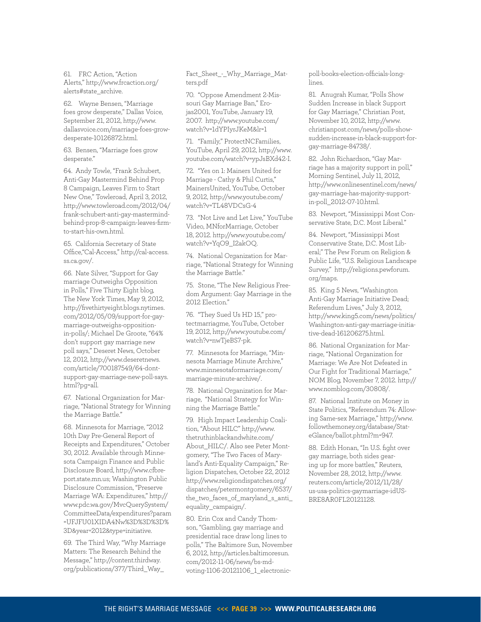<span id="page-38-0"></span>61. FRC Action, "Action Alerts," [http://www.frcaction.org/](http://www.frcaction.org/alerts) [alerts](http://www.frcaction.org/alerts)#state\_archive.

<span id="page-38-1"></span>62. Wayne Bensen, "Marriage foes grow desperate," Dallas Voice, September 21, 2012, [http://www.](http://www.dallasvoice.com/marriage-foes-grow-desperate-10126872.html) [dallasvoice.com/marriage-foes-grow](http://www.dallasvoice.com/marriage-foes-grow-desperate-10126872.html)[desperate-10126872.html.](http://www.dallasvoice.com/marriage-foes-grow-desperate-10126872.html)

<span id="page-38-2"></span>63. Bensen, "Marriage foes grow desperate."

<span id="page-38-3"></span>64. Andy Towle, "Frank Schubert, Anti-Gay Mastermind Behind Prop 8 Campaign, Leaves Firm to Start New One," Towleroad, April 3, 2012, [http://www.towleroad.com/2012/04/](http://www.towleroad.com/2012/04/frank-schubert-anti-gay-mastermind-behind-prop-8-campaign-leaves-firm-to-start-his-own.html) [frank-schubert-anti-gay-mastermind](http://www.towleroad.com/2012/04/frank-schubert-anti-gay-mastermind-behind-prop-8-campaign-leaves-firm-to-start-his-own.html)[behind-prop-8-campaign-leaves-firm](http://www.towleroad.com/2012/04/frank-schubert-anti-gay-mastermind-behind-prop-8-campaign-leaves-firm-to-start-his-own.html)[to-start-his-own.html.](http://www.towleroad.com/2012/04/frank-schubert-anti-gay-mastermind-behind-prop-8-campaign-leaves-firm-to-start-his-own.html)

<span id="page-38-4"></span>65. California Secretary of State Office,"Cal-Access," [http://cal-access.](http://cal-access.ss.ca.gov) [ss.ca.gov](http://cal-access.ss.ca.gov)/.

<span id="page-38-5"></span>66. Nate Silver, "Support for Gay marriage Outweighs Opposition in Polls," Five Thirty Eight blog, The New York Times, May 9, 2012, [http://fivethirtyeight.blogs.nytimes.](http://fivethirtyeight.blogs.nytimes.com/2012/05/09/support) [com/2012/05/09/support-](http://fivethirtyeight.blogs.nytimes.com/2012/05/09/support)for-gaymarriage-outweighs-oppositionin-polls/; Michael De Groote, "64% don't support gay marriage new poll says," Deseret News, October 12, 2012, [http://www.deseretnews.](http://www.deseretnews.com/article/700187549/64-dont-support-gay-marriage-new-poll-says.html?pg=all.) [com/article/700187549/64-dont](http://www.deseretnews.com/article/700187549/64-dont-support-gay-marriage-new-poll-says.html?pg=all.)[support-gay-marriage-new-poll-says.](http://www.deseretnews.com/article/700187549/64-dont-support-gay-marriage-new-poll-says.html?pg=all.) [html?pg=all.](http://www.deseretnews.com/article/700187549/64-dont-support-gay-marriage-new-poll-says.html?pg=all.)

<span id="page-38-6"></span>67. National Organization for Marriage, "National Strategy for Winning the Marriage Battle."

<span id="page-38-7"></span>68. Minnesota for Marriage, "2012 10th Day Pre-General Report of Receipts and Expenditures," October 30, 2012. Available through Minnesota Campaign Finance and Public Disclosure Board, [http://www.cfbre](http://www.cfbreport.state.mn.us)[port.state.mn.us;](http://www.cfbreport.state.mn.us) Washington Public Disclosure Commission, "Preserve Marriage WA: Expenditures," [http://](http://www.pdc.wa.gov/MvcQuerySystem/CommitteeData/expenditures?param=UFJFU01XIDA4Nw%3D%3D%3D%3D&year=2012&type=initiative.) [www.pdc.wa.gov/MvcQuerySystem/](http://www.pdc.wa.gov/MvcQuerySystem/CommitteeData/expenditures?param=UFJFU01XIDA4Nw%3D%3D%3D%3D&year=2012&type=initiative.) [CommitteeData/expenditures?param](http://www.pdc.wa.gov/MvcQuerySystem/CommitteeData/expenditures?param=UFJFU01XIDA4Nw%3D%3D%3D%3D&year=2012&type=initiative.) [=UFJFU01XIDA4Nw%3D%3D%3D%](http://www.pdc.wa.gov/MvcQuerySystem/CommitteeData/expenditures?param=UFJFU01XIDA4Nw%3D%3D%3D%3D&year=2012&type=initiative.) [3D&year=2012&type=initiative.](http://www.pdc.wa.gov/MvcQuerySystem/CommitteeData/expenditures?param=UFJFU01XIDA4Nw%3D%3D%3D%3D&year=2012&type=initiative.)

<span id="page-38-8"></span>69. The Third Way, "Why Marriage Matters: The Research Behind the Message," [http://content.thirdway.](http://content.thirdway.org/publications/377/Third_Way_Fact_Sheet_-_Why_Marriage_Matters.pdf) [org/publications/377/Third\\_Way\\_](http://content.thirdway.org/publications/377/Third_Way_Fact_Sheet_-_Why_Marriage_Matters.pdf)

[Fact\\_Sheet\\_-\\_Why\\_Marriage\\_Mat](http://content.thirdway.org/publications/377/Third_Way_Fact_Sheet_-_Why_Marriage_Matters.pdf)[ters.pdf](http://content.thirdway.org/publications/377/Third_Way_Fact_Sheet_-_Why_Marriage_Matters.pdf)

<span id="page-38-9"></span>70. "Oppose Amendment 2-Missouri Gay Marriage Ban," Erojas2001, YouTube, January 19, 2007. [http://www.youtube.com/](http://www.youtube.com/watch?v=1dYPIyrJKeM&lr=1) [watch?v=1dYPIyrJKeM&lr=1](http://www.youtube.com/watch?v=1dYPIyrJKeM&lr=1) 

<span id="page-38-10"></span>71. "Family," ProtectNCFamilies, YouTube, April 29, 2012, [http://www.](http://www.youtube.com/watch?v=ypJsBXd42-I.) [youtube.com/watch?v=ypJsBXd42-I.](http://www.youtube.com/watch?v=ypJsBXd42-I.) 

<span id="page-38-11"></span>72. "Yes on 1: Mainers United for Marriage - Cathy & Phil Curtis," MainersUnited, YouTube, October 9, 2012, [http://www.youtube.com/](http://www.youtube.com/watch?v=TL48VDCsG-4) [watch?v=TL48VDCsG-4](http://www.youtube.com/watch?v=TL48VDCsG-4)

<span id="page-38-12"></span>73. "Not Live and Let Live," YouTube Video, MNforMarriage, October 18, 2012. [http://www.youtube.com/](http://www.youtube.com/watch?v=YqO9_I2akOQ.) [watch?v=YqO9\\_I2akOQ.](http://www.youtube.com/watch?v=YqO9_I2akOQ.)

<span id="page-38-13"></span>74. National Organization for Marriage, "National Strategy for Winning the Marriage Battle."

<span id="page-38-14"></span>75. Stone, "The New Religious Freedom Argument: Gay Marriage in the 2012 Election."

<span id="page-38-15"></span>76. "They Sued Us HD 15," protectmarriagme, YouTube, October 19, 2012, [http://www.youtube.com/](http://www.youtube.com/watch?v=nwTjeBS7-pk.) [watch?v=nwTjeBS7-pk.](http://www.youtube.com/watch?v=nwTjeBS7-pk.)

<span id="page-38-16"></span>77. Minnesota for Marriage, "Minnesota Marriage Minute Archive," [www.minnesotaformarriage.com/](www.minnesotaformarriage.com/marriage) [marriage](www.minnesotaformarriage.com/marriage)-minute-archive/.

<span id="page-38-17"></span>78. National Organization for Marriage, "National Strategy for Winning the Marriage Battle."

<span id="page-38-18"></span>79. High Impact Leadership Coalition, "About HILC" [http://www.](http://www.thetruthinblackandwhite.com/About_HILC) [thetruthinblackandwhite.com/](http://www.thetruthinblackandwhite.com/About_HILC) [About\\_HILC](http://www.thetruthinblackandwhite.com/About_HILC)/. Also see Peter Montgomery, "The Two Faces of Maryland's Anti-Equality Campaign," Religion Dispatches, October 22, 2012 [http://www.religiondispatches.org/](http://www.religiondispatches.org/dispatches/petermontgomery/6537/the_two_faces_of_maryland_s_anti_equality_campaign) [dispatches/petermontgomery/6537/](http://www.religiondispatches.org/dispatches/petermontgomery/6537/the_two_faces_of_maryland_s_anti_equality_campaign) [the\\_two\\_faces\\_of\\_maryland\\_s\\_anti\\_](http://www.religiondispatches.org/dispatches/petermontgomery/6537/the_two_faces_of_maryland_s_anti_equality_campaign) [equality\\_campaign/](http://www.religiondispatches.org/dispatches/petermontgomery/6537/the_two_faces_of_maryland_s_anti_equality_campaign).

<span id="page-38-19"></span>80. Erin Cox and Candy Thomson, "Gambling, gay marriage and presidential race draw long lines to polls," The Baltimore Sun, November 6, 2012, [http://articles.baltimoresun.](http://articles.baltimoresun.com/2012-11-06/news/bs) [com/2012-11-06/news/bs-](http://articles.baltimoresun.com/2012-11-06/news/bs)mdvoting-1106-20121106\_1\_electronicpoll-books-election-officials-longlines.

<span id="page-38-21"></span>81. Anugrah Kumar, "Polls Show Sudden Increase in black Support for Gay Marriage," Christian Post, November 10, 2012, [http://www.](http://www.christianpost.com/news/polls) [christianpost.com/news/polls](http://www.christianpost.com/news/polls)-showsudden-increase-in-black-support-forgay-marriage-84738/.

<span id="page-38-20"></span>82. John Richardson, "Gay Marriage has a majority support in poll," Morning Sentinel, July 11, 2012, [http://www.onlinesentinel.com/news/](http://www.onlinesentinel.com/news/gay-marriage-has-majority-support-in-poll_2012-07-10.html) [gay-marriage-has-majority-support](http://www.onlinesentinel.com/news/gay-marriage-has-majority-support-in-poll_2012-07-10.html)[in-poll\\_2012-07-10.html.](http://www.onlinesentinel.com/news/gay-marriage-has-majority-support-in-poll_2012-07-10.html)

<span id="page-38-22"></span>83. Newport, "Mississippi Most Conservative State, D.C. Most Liberal."

<span id="page-38-23"></span>84. Newport, "Mississippi Most Conservative State, D.C. Most Liberal;" The Pew Forum on Religion & Public Life, "U.S. Religious Landscape Survey," [http://religions.pewforum.](http://religions.pewforum.org/maps) [org/maps.](http://religions.pewforum.org/maps)

85. King 5 News, "Washington Anti-Gay Marriage Initiative Dead; Referendum Lives," July 3, 2012, [http://www.king5.com/news/politics/](http://www.king5.com/news/politics/Washington-anti-gay-marriage-initiative-dead-161206275.html) [Washington-anti-gay-marriage-initia](http://www.king5.com/news/politics/Washington-anti-gay-marriage-initiative-dead-161206275.html)[tive-dead-161206275.html](http://www.king5.com/news/politics/Washington-anti-gay-marriage-initiative-dead-161206275.html).

<span id="page-38-24"></span>86. National Organization for Marriage, "National Organization for Marriage: We Are Not Defeated in Our Fight for Traditional Marriage," NOM Blog, November 7, 2012. [http://](http://www.nomblog.com/30808) [www.nomblog.com/30808](http://www.nomblog.com/30808)/.

<span id="page-38-25"></span>87. National Institute on Money in State Politics, "Referendum 74: Allowing Same-sex Marriage," [http://www.](http://www.followthemoney.org/database/StateGlance/ballot.phtml?m=947.) [followthemoney.org/database/Stat](http://www.followthemoney.org/database/StateGlance/ballot.phtml?m=947.)[eGlance/ballot.phtml?m=947.](http://www.followthemoney.org/database/StateGlance/ballot.phtml?m=947.)

<span id="page-38-26"></span>88. Edith Honan, "In U.S. fight over gay marriage, both sides gearing up for more battles," Reuters, November 28, 2012, [http://www.](http://www.reuters.com/article/2012/11/28/us) [reuters.com/article/2012/11/28/](http://www.reuters.com/article/2012/11/28/us) [us-](http://www.reuters.com/article/2012/11/28/us)usa-politics-gaymarriage-idUS-BRE8AR0FL20121128.